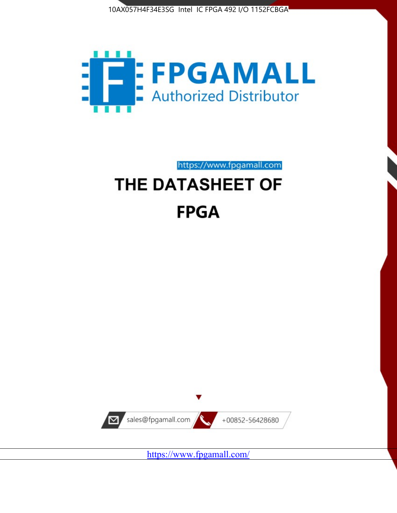



https://www.fpgamall.com

# THE DATASHEET OF **FPGA**



<https://www.fpgamall.com/>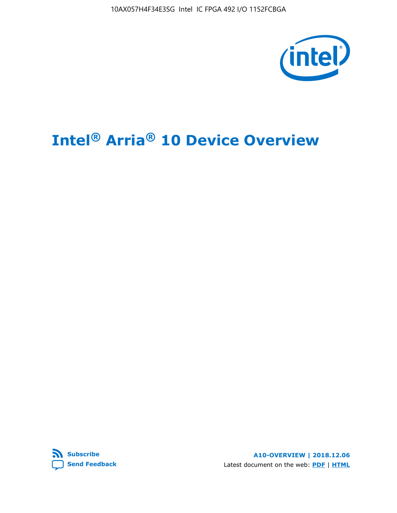10AX057H4F34E3SG Intel IC FPGA 492 I/O 1152FCBGA



# **Intel® Arria® 10 Device Overview**



**A10-OVERVIEW | 2018.12.06** Latest document on the web: **[PDF](https://www.intel.com/content/dam/www/programmable/us/en/pdfs/literature/hb/arria-10/a10_overview.pdf)** | **[HTML](https://www.intel.com/content/www/us/en/programmable/documentation/sam1403480274650.html)**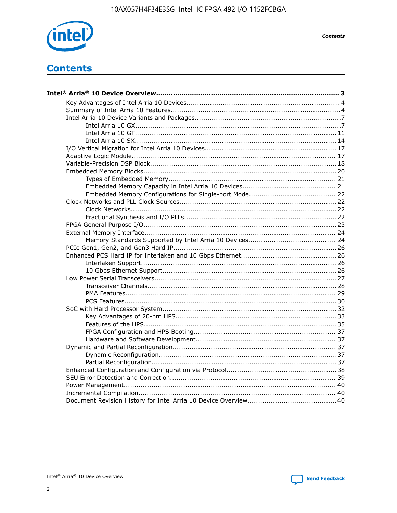

**Contents** 

# **Contents**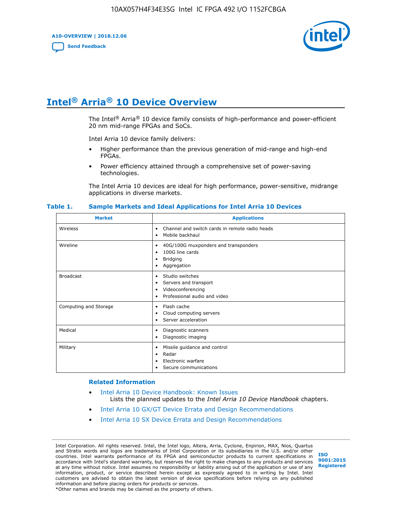**A10-OVERVIEW | 2018.12.06**

**[Send Feedback](mailto:FPGAtechdocfeedback@intel.com?subject=Feedback%20on%20Intel%20Arria%2010%20Device%20Overview%20(A10-OVERVIEW%202018.12.06)&body=We%20appreciate%20your%20feedback.%20In%20your%20comments,%20also%20specify%20the%20page%20number%20or%20paragraph.%20Thank%20you.)**



# **Intel® Arria® 10 Device Overview**

The Intel<sup>®</sup> Arria<sup>®</sup> 10 device family consists of high-performance and power-efficient 20 nm mid-range FPGAs and SoCs.

Intel Arria 10 device family delivers:

- Higher performance than the previous generation of mid-range and high-end FPGAs.
- Power efficiency attained through a comprehensive set of power-saving technologies.

The Intel Arria 10 devices are ideal for high performance, power-sensitive, midrange applications in diverse markets.

| <b>Market</b>         | <b>Applications</b>                                                                                               |
|-----------------------|-------------------------------------------------------------------------------------------------------------------|
| Wireless              | Channel and switch cards in remote radio heads<br>٠<br>Mobile backhaul<br>٠                                       |
| Wireline              | 40G/100G muxponders and transponders<br>٠<br>100G line cards<br>٠<br><b>Bridging</b><br>٠<br>Aggregation<br>٠     |
| <b>Broadcast</b>      | Studio switches<br>٠<br>Servers and transport<br>٠<br>Videoconferencing<br>٠<br>Professional audio and video<br>٠ |
| Computing and Storage | Flash cache<br>٠<br>Cloud computing servers<br>٠<br>Server acceleration<br>٠                                      |
| Medical               | Diagnostic scanners<br>٠<br>Diagnostic imaging<br>٠                                                               |
| Military              | Missile guidance and control<br>٠<br>Radar<br>٠<br>Electronic warfare<br>٠<br>Secure communications<br>٠          |

#### **Table 1. Sample Markets and Ideal Applications for Intel Arria 10 Devices**

#### **Related Information**

- [Intel Arria 10 Device Handbook: Known Issues](http://www.altera.com/support/kdb/solutions/rd07302013_646.html) Lists the planned updates to the *Intel Arria 10 Device Handbook* chapters.
- [Intel Arria 10 GX/GT Device Errata and Design Recommendations](https://www.intel.com/content/www/us/en/programmable/documentation/agz1493851706374.html#yqz1494433888646)
- [Intel Arria 10 SX Device Errata and Design Recommendations](https://www.intel.com/content/www/us/en/programmable/documentation/cru1462832385668.html#cru1462832558642)

Intel Corporation. All rights reserved. Intel, the Intel logo, Altera, Arria, Cyclone, Enpirion, MAX, Nios, Quartus and Stratix words and logos are trademarks of Intel Corporation or its subsidiaries in the U.S. and/or other countries. Intel warrants performance of its FPGA and semiconductor products to current specifications in accordance with Intel's standard warranty, but reserves the right to make changes to any products and services at any time without notice. Intel assumes no responsibility or liability arising out of the application or use of any information, product, or service described herein except as expressly agreed to in writing by Intel. Intel customers are advised to obtain the latest version of device specifications before relying on any published information and before placing orders for products or services. \*Other names and brands may be claimed as the property of others.

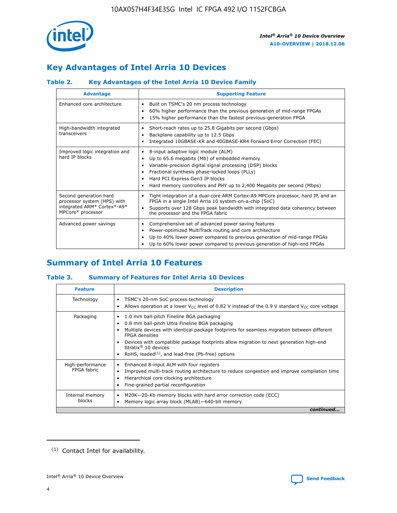

# **Key Advantages of Intel Arria 10 Devices**

# **Table 2. Key Advantages of the Intel Arria 10 Device Family**

| <b>Advantage</b>                                                                                          | <b>Supporting Feature</b>                                                                                                                                                                                                                                                                                                |
|-----------------------------------------------------------------------------------------------------------|--------------------------------------------------------------------------------------------------------------------------------------------------------------------------------------------------------------------------------------------------------------------------------------------------------------------------|
| Enhanced core architecture                                                                                | Built on TSMC's 20 nm process technology<br>٠<br>60% higher performance than the previous generation of mid-range FPGAs<br>٠<br>15% higher performance than the fastest previous-generation FPGA<br>٠                                                                                                                    |
| High-bandwidth integrated<br>transceivers                                                                 | Short-reach rates up to 25.8 Gigabits per second (Gbps)<br>٠<br>Backplane capability up to 12.5 Gbps<br>٠<br>Integrated 10GBASE-KR and 40GBASE-KR4 Forward Error Correction (FEC)<br>٠                                                                                                                                   |
| Improved logic integration and<br>hard IP blocks                                                          | 8-input adaptive logic module (ALM)<br>٠<br>Up to 65.6 megabits (Mb) of embedded memory<br>٠<br>Variable-precision digital signal processing (DSP) blocks<br>Fractional synthesis phase-locked loops (PLLs)<br>Hard PCI Express Gen3 IP blocks<br>Hard memory controllers and PHY up to 2,400 Megabits per second (Mbps) |
| Second generation hard<br>processor system (HPS) with<br>integrated ARM* Cortex*-A9*<br>MPCore* processor | Tight integration of a dual-core ARM Cortex-A9 MPCore processor, hard IP, and an<br>٠<br>FPGA in a single Intel Arria 10 system-on-a-chip (SoC)<br>Supports over 128 Gbps peak bandwidth with integrated data coherency between<br>$\bullet$<br>the processor and the FPGA fabric                                        |
| Advanced power savings                                                                                    | Comprehensive set of advanced power saving features<br>٠<br>Power-optimized MultiTrack routing and core architecture<br>٠<br>Up to 40% lower power compared to previous generation of mid-range FPGAs<br>Up to 60% lower power compared to previous generation of high-end FPGAs                                         |

# **Summary of Intel Arria 10 Features**

## **Table 3. Summary of Features for Intel Arria 10 Devices**

| <b>Feature</b>                  | <b>Description</b>                                                                                                                                                                                                                                                                                                                                                                                           |
|---------------------------------|--------------------------------------------------------------------------------------------------------------------------------------------------------------------------------------------------------------------------------------------------------------------------------------------------------------------------------------------------------------------------------------------------------------|
| Technology                      | TSMC's 20-nm SoC process technology<br>Allows operation at a lower $V_{\text{CC}}$ level of 0.82 V instead of the 0.9 V standard $V_{\text{CC}}$ core voltage                                                                                                                                                                                                                                                |
| Packaging                       | 1.0 mm ball-pitch Fineline BGA packaging<br>٠<br>0.8 mm ball-pitch Ultra Fineline BGA packaging<br>Multiple devices with identical package footprints for seamless migration between different<br><b>FPGA</b> densities<br>Devices with compatible package footprints allow migration to next generation high-end<br>Stratix <sup>®</sup> 10 devices<br>RoHS, leaded $(1)$ , and lead-free (Pb-free) options |
| High-performance<br>FPGA fabric | Enhanced 8-input ALM with four registers<br>Improved multi-track routing architecture to reduce congestion and improve compilation time<br>Hierarchical core clocking architecture<br>Fine-grained partial reconfiguration                                                                                                                                                                                   |
| Internal memory<br>blocks       | M20K-20-Kb memory blocks with hard error correction code (ECC)<br>Memory logic array block (MLAB)-640-bit memory                                                                                                                                                                                                                                                                                             |
|                                 | continued                                                                                                                                                                                                                                                                                                                                                                                                    |



<sup>(1)</sup> Contact Intel for availability.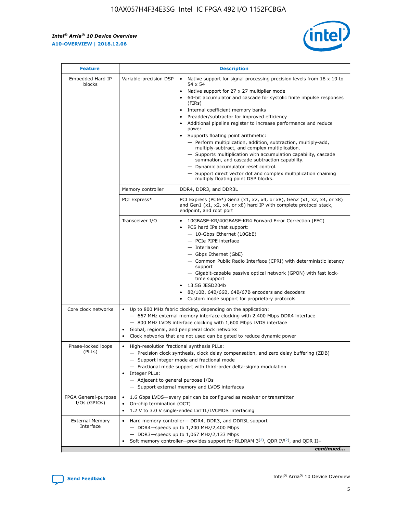r



| <b>Feature</b>                         |                                                                                                                | <b>Description</b>                                                                                                                                                                                                                                                                                                                                                                                                                                                                                                                                                                                                                                                                                                                                                                                                                     |
|----------------------------------------|----------------------------------------------------------------------------------------------------------------|----------------------------------------------------------------------------------------------------------------------------------------------------------------------------------------------------------------------------------------------------------------------------------------------------------------------------------------------------------------------------------------------------------------------------------------------------------------------------------------------------------------------------------------------------------------------------------------------------------------------------------------------------------------------------------------------------------------------------------------------------------------------------------------------------------------------------------------|
| Embedded Hard IP<br>blocks             | Variable-precision DSP                                                                                         | Native support for signal processing precision levels from $18 \times 19$ to<br>54 x 54<br>Native support for 27 x 27 multiplier mode<br>64-bit accumulator and cascade for systolic finite impulse responses<br>(FIRs)<br>Internal coefficient memory banks<br>$\bullet$<br>Preadder/subtractor for improved efficiency<br>Additional pipeline register to increase performance and reduce<br>power<br>Supports floating point arithmetic:<br>- Perform multiplication, addition, subtraction, multiply-add,<br>multiply-subtract, and complex multiplication.<br>- Supports multiplication with accumulation capability, cascade<br>summation, and cascade subtraction capability.<br>- Dynamic accumulator reset control.<br>- Support direct vector dot and complex multiplication chaining<br>multiply floating point DSP blocks. |
|                                        | Memory controller                                                                                              | DDR4, DDR3, and DDR3L                                                                                                                                                                                                                                                                                                                                                                                                                                                                                                                                                                                                                                                                                                                                                                                                                  |
|                                        | PCI Express*                                                                                                   | PCI Express (PCIe*) Gen3 (x1, x2, x4, or x8), Gen2 (x1, x2, x4, or x8)<br>and Gen1 (x1, x2, x4, or x8) hard IP with complete protocol stack,<br>endpoint, and root port                                                                                                                                                                                                                                                                                                                                                                                                                                                                                                                                                                                                                                                                |
|                                        | Transceiver I/O                                                                                                | 10GBASE-KR/40GBASE-KR4 Forward Error Correction (FEC)<br>PCS hard IPs that support:<br>$\bullet$<br>- 10-Gbps Ethernet (10GbE)<br>- PCIe PIPE interface<br>$-$ Interlaken<br>- Gbps Ethernet (GbE)<br>- Common Public Radio Interface (CPRI) with deterministic latency<br>support<br>- Gigabit-capable passive optical network (GPON) with fast lock-<br>time support<br>13.5G JESD204b<br>$\bullet$<br>8B/10B, 64B/66B, 64B/67B encoders and decoders<br>Custom mode support for proprietary protocols                                                                                                                                                                                                                                                                                                                               |
| Core clock networks                    | $\bullet$<br>$\bullet$                                                                                         | Up to 800 MHz fabric clocking, depending on the application:<br>- 667 MHz external memory interface clocking with 2,400 Mbps DDR4 interface<br>- 800 MHz LVDS interface clocking with 1,600 Mbps LVDS interface<br>Global, regional, and peripheral clock networks<br>Clock networks that are not used can be gated to reduce dynamic power                                                                                                                                                                                                                                                                                                                                                                                                                                                                                            |
| Phase-locked loops<br>(PLLs)           | High-resolution fractional synthesis PLLs:<br>$\bullet$<br>Integer PLLs:<br>- Adjacent to general purpose I/Os | - Precision clock synthesis, clock delay compensation, and zero delay buffering (ZDB)<br>- Support integer mode and fractional mode<br>- Fractional mode support with third-order delta-sigma modulation<br>- Support external memory and LVDS interfaces                                                                                                                                                                                                                                                                                                                                                                                                                                                                                                                                                                              |
| FPGA General-purpose<br>$I/Os$ (GPIOs) | On-chip termination (OCT)                                                                                      | 1.6 Gbps LVDS-every pair can be configured as receiver or transmitter<br>1.2 V to 3.0 V single-ended LVTTL/LVCMOS interfacing                                                                                                                                                                                                                                                                                                                                                                                                                                                                                                                                                                                                                                                                                                          |
| <b>External Memory</b><br>Interface    |                                                                                                                | Hard memory controller- DDR4, DDR3, and DDR3L support<br>$-$ DDR4-speeds up to 1,200 MHz/2,400 Mbps<br>- DDR3-speeds up to 1,067 MHz/2,133 Mbps<br>Soft memory controller—provides support for RLDRAM $3^{(2)}$ , QDR IV $^{(2)}$ , and QDR II+<br>continued                                                                                                                                                                                                                                                                                                                                                                                                                                                                                                                                                                           |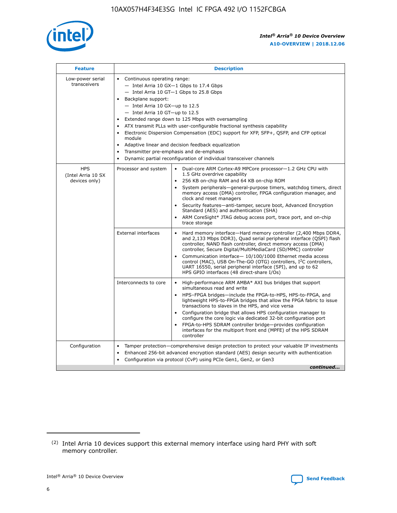

| <b>Feature</b>                                    | <b>Description</b>                                                                                                                                                                                                                                                                                                                                                                                                                                                                                                                                                                                                                             |
|---------------------------------------------------|------------------------------------------------------------------------------------------------------------------------------------------------------------------------------------------------------------------------------------------------------------------------------------------------------------------------------------------------------------------------------------------------------------------------------------------------------------------------------------------------------------------------------------------------------------------------------------------------------------------------------------------------|
| Low-power serial<br>transceivers                  | • Continuous operating range:<br>- Intel Arria 10 GX-1 Gbps to 17.4 Gbps<br>- Intel Arria 10 GT-1 Gbps to 25.8 Gbps<br>Backplane support:<br>$-$ Intel Arria 10 GX-up to 12.5<br>$-$ Intel Arria 10 GT-up to 12.5<br>Extended range down to 125 Mbps with oversampling<br>ATX transmit PLLs with user-configurable fractional synthesis capability<br>• Electronic Dispersion Compensation (EDC) support for XFP, SFP+, QSFP, and CFP optical<br>module<br>• Adaptive linear and decision feedback equalization<br>Transmitter pre-emphasis and de-emphasis<br>$\bullet$<br>Dynamic partial reconfiguration of individual transceiver channels |
| <b>HPS</b><br>(Intel Arria 10 SX<br>devices only) | Processor and system<br>Dual-core ARM Cortex-A9 MPCore processor-1.2 GHz CPU with<br>$\bullet$<br>1.5 GHz overdrive capability<br>256 KB on-chip RAM and 64 KB on-chip ROM<br>$\bullet$<br>System peripherals-general-purpose timers, watchdog timers, direct<br>memory access (DMA) controller, FPGA configuration manager, and<br>clock and reset managers<br>• Security features—anti-tamper, secure boot, Advanced Encryption<br>Standard (AES) and authentication (SHA)<br>ARM CoreSight* JTAG debug access port, trace port, and on-chip<br>trace storage                                                                                |
|                                                   | <b>External interfaces</b><br>Hard memory interface—Hard memory controller (2,400 Mbps DDR4,<br>$\bullet$<br>and 2,133 Mbps DDR3), Quad serial peripheral interface (QSPI) flash<br>controller, NAND flash controller, direct memory access (DMA)<br>controller, Secure Digital/MultiMediaCard (SD/MMC) controller<br>Communication interface-10/100/1000 Ethernet media access<br>control (MAC), USB On-The-GO (OTG) controllers, I <sup>2</sup> C controllers,<br>UART 16550, serial peripheral interface (SPI), and up to 62<br>HPS GPIO interfaces (48 direct-share I/Os)                                                                  |
|                                                   | High-performance ARM AMBA* AXI bus bridges that support<br>Interconnects to core<br>$\bullet$<br>simultaneous read and write<br>HPS-FPGA bridges—include the FPGA-to-HPS, HPS-to-FPGA, and<br>$\bullet$<br>lightweight HPS-to-FPGA bridges that allow the FPGA fabric to issue<br>transactions to slaves in the HPS, and vice versa<br>Configuration bridge that allows HPS configuration manager to<br>configure the core logic via dedicated 32-bit configuration port<br>FPGA-to-HPS SDRAM controller bridge-provides configuration<br>interfaces for the multiport front end (MPFE) of the HPS SDRAM<br>controller                         |
| Configuration                                     | Tamper protection—comprehensive design protection to protect your valuable IP investments<br>Enhanced 256-bit advanced encryption standard (AES) design security with authentication<br>$\bullet$<br>Configuration via protocol (CvP) using PCIe Gen1, Gen2, or Gen3<br>continued                                                                                                                                                                                                                                                                                                                                                              |

<sup>(2)</sup> Intel Arria 10 devices support this external memory interface using hard PHY with soft memory controller.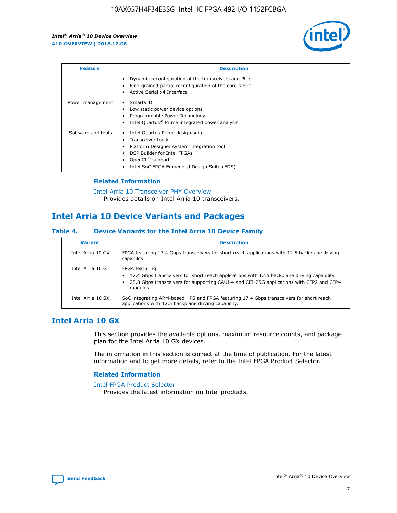

| <b>Feature</b>     | <b>Description</b>                                                                                                                                                                                                            |
|--------------------|-------------------------------------------------------------------------------------------------------------------------------------------------------------------------------------------------------------------------------|
|                    | Dynamic reconfiguration of the transceivers and PLLs<br>Fine-grained partial reconfiguration of the core fabric<br>Active Serial x4 Interface<br>$\bullet$                                                                    |
| Power management   | SmartVID<br>Low static power device options<br>Programmable Power Technology<br>Intel Quartus <sup>®</sup> Prime integrated power analysis                                                                                    |
| Software and tools | Intel Quartus Prime design suite<br>Transceiver toolkit<br>$\bullet$<br>Platform Designer system integration tool<br>DSP Builder for Intel FPGAs<br>OpenCL <sup>™</sup> support<br>Intel SoC FPGA Embedded Design Suite (EDS) |

## **Related Information**

[Intel Arria 10 Transceiver PHY Overview](https://www.intel.com/content/www/us/en/programmable/documentation/nik1398707230472.html#nik1398706768037) Provides details on Intel Arria 10 transceivers.

# **Intel Arria 10 Device Variants and Packages**

#### **Table 4. Device Variants for the Intel Arria 10 Device Family**

| <b>Variant</b>    | <b>Description</b>                                                                                                                                                                                                     |
|-------------------|------------------------------------------------------------------------------------------------------------------------------------------------------------------------------------------------------------------------|
| Intel Arria 10 GX | FPGA featuring 17.4 Gbps transceivers for short reach applications with 12.5 backplane driving<br>capability.                                                                                                          |
| Intel Arria 10 GT | FPGA featuring:<br>17.4 Gbps transceivers for short reach applications with 12.5 backplane driving capability.<br>25.8 Gbps transceivers for supporting CAUI-4 and CEI-25G applications with CFP2 and CFP4<br>modules. |
| Intel Arria 10 SX | SoC integrating ARM-based HPS and FPGA featuring 17.4 Gbps transceivers for short reach<br>applications with 12.5 backplane driving capability.                                                                        |

# **Intel Arria 10 GX**

This section provides the available options, maximum resource counts, and package plan for the Intel Arria 10 GX devices.

The information in this section is correct at the time of publication. For the latest information and to get more details, refer to the Intel FPGA Product Selector.

#### **Related Information**

#### [Intel FPGA Product Selector](http://www.altera.com/products/selector/psg-selector.html) Provides the latest information on Intel products.

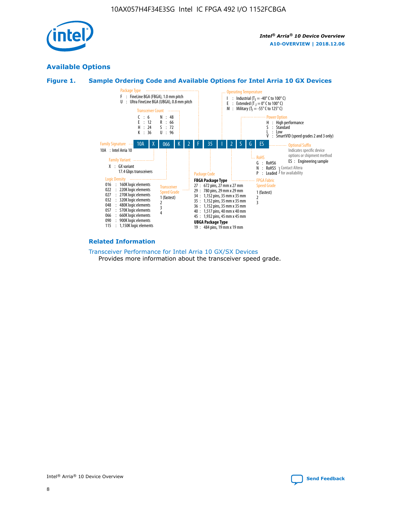

# **Available Options**





#### **Related Information**

[Transceiver Performance for Intel Arria 10 GX/SX Devices](https://www.intel.com/content/www/us/en/programmable/documentation/mcn1413182292568.html#mcn1413213965502) Provides more information about the transceiver speed grade.

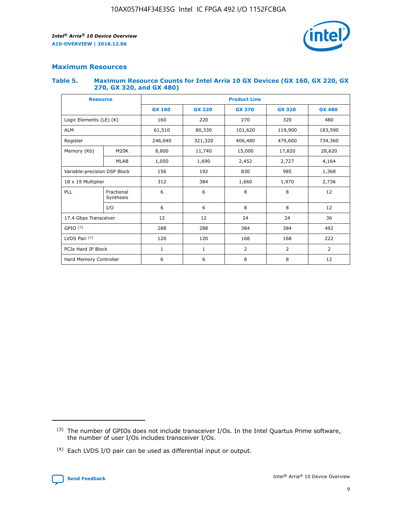

# **Maximum Resources**

#### **Table 5. Maximum Resource Counts for Intel Arria 10 GX Devices (GX 160, GX 220, GX 270, GX 320, and GX 480)**

| <b>Resource</b>         |                                            | <b>Product Line</b> |                                |                    |                |                |  |  |  |
|-------------------------|--------------------------------------------|---------------------|--------------------------------|--------------------|----------------|----------------|--|--|--|
|                         |                                            | <b>GX 160</b>       | <b>GX 220</b><br><b>GX 270</b> |                    | <b>GX 320</b>  | <b>GX 480</b>  |  |  |  |
| Logic Elements (LE) (K) |                                            | 160                 | 220                            | 270                | 320            | 480            |  |  |  |
| <b>ALM</b>              |                                            | 61,510              | 80,330                         | 119,900<br>101,620 |                | 183,590        |  |  |  |
| Register                |                                            | 246,040             | 321,320                        | 406,480            | 479,600        | 734,360        |  |  |  |
| Memory (Kb)             | M <sub>20</sub> K                          | 8,800               | 11,740                         | 15,000             | 17,820         | 28,620         |  |  |  |
|                         | <b>MLAB</b>                                | 1,050               | 1,690                          | 2,452              | 2,727          | 4,164          |  |  |  |
|                         | 192<br>Variable-precision DSP Block<br>156 |                     |                                | 830                | 985            |                |  |  |  |
| 18 x 19 Multiplier      |                                            | 312                 | 384                            | 1,970<br>1,660     |                | 2,736          |  |  |  |
| PLL                     | Fractional<br>Synthesis                    | 6                   | 6                              | 8                  | 8              | 12             |  |  |  |
|                         | I/O                                        | 6                   | 6                              | 8                  | 8              | 12             |  |  |  |
| 17.4 Gbps Transceiver   |                                            | 12                  | 12                             | 24                 | 24             | 36             |  |  |  |
| GPIO <sup>(3)</sup>     |                                            | 288                 | 288                            | 384<br>384         |                | 492            |  |  |  |
| LVDS Pair $(4)$         |                                            | 120                 | 120                            | 168                | 168            | 222            |  |  |  |
| PCIe Hard IP Block      |                                            | $\mathbf{1}$        | 1                              | $\overline{2}$     | $\overline{2}$ | $\overline{2}$ |  |  |  |
| Hard Memory Controller  |                                            | 6                   | 6                              | 8                  | 8              | 12             |  |  |  |

<sup>(4)</sup> Each LVDS I/O pair can be used as differential input or output.



<sup>(3)</sup> The number of GPIOs does not include transceiver I/Os. In the Intel Quartus Prime software, the number of user I/Os includes transceiver I/Os.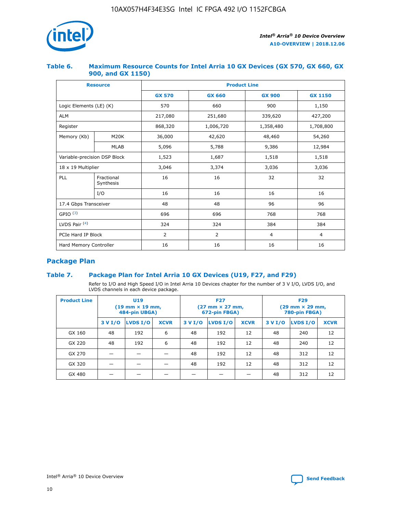

## **Table 6. Maximum Resource Counts for Intel Arria 10 GX Devices (GX 570, GX 660, GX 900, and GX 1150)**

| <b>Resource</b>              |                           |               | <b>Product Line</b> |                |                |  |  |  |  |  |
|------------------------------|---------------------------|---------------|---------------------|----------------|----------------|--|--|--|--|--|
|                              |                           | <b>GX 570</b> | <b>GX 660</b>       | <b>GX 900</b>  | <b>GX 1150</b> |  |  |  |  |  |
| Logic Elements (LE) (K)      |                           | 570           | 660                 | 900            | 1,150          |  |  |  |  |  |
| <b>ALM</b>                   |                           | 217,080       | 251,680             | 339,620        | 427,200        |  |  |  |  |  |
| Register                     |                           | 868,320       | 1,006,720           | 1,358,480      | 1,708,800      |  |  |  |  |  |
| Memory (Kb)                  | <b>M20K</b>               | 36,000        | 42,620              | 48,460         | 54,260         |  |  |  |  |  |
|                              | <b>MLAB</b>               | 5,096         | 5,788               | 9,386          | 12,984         |  |  |  |  |  |
| Variable-precision DSP Block |                           | 1,523         | 1,687               | 1,518          | 1,518          |  |  |  |  |  |
|                              | $18 \times 19$ Multiplier |               | 3,374               | 3,036          | 3,036          |  |  |  |  |  |
| PLL                          | Fractional<br>Synthesis   | 16            | 16                  | 32             | 32             |  |  |  |  |  |
|                              | I/O                       | 16            | 16                  | 16             | 16             |  |  |  |  |  |
| 17.4 Gbps Transceiver        |                           | 48            | 96<br>48            |                | 96             |  |  |  |  |  |
| GPIO <sup>(3)</sup>          |                           | 696           | 696                 | 768            | 768            |  |  |  |  |  |
| LVDS Pair $(4)$              |                           | 324           | 324<br>384          |                | 384            |  |  |  |  |  |
| PCIe Hard IP Block           |                           | 2             | 2                   | $\overline{4}$ | $\overline{4}$ |  |  |  |  |  |
| Hard Memory Controller       |                           | 16            | 16                  | 16             | 16             |  |  |  |  |  |

# **Package Plan**

# **Table 7. Package Plan for Intel Arria 10 GX Devices (U19, F27, and F29)**

Refer to I/O and High Speed I/O in Intel Arria 10 Devices chapter for the number of 3 V I/O, LVDS I/O, and LVDS channels in each device package.

| <b>Product Line</b> | <b>U19</b><br>$(19 \text{ mm} \times 19 \text{ mm})$<br>484-pin UBGA) |          |             |         | <b>F27</b><br>(27 mm × 27 mm,<br>672-pin FBGA) |             | <b>F29</b><br>(29 mm × 29 mm,<br>780-pin FBGA) |          |             |  |
|---------------------|-----------------------------------------------------------------------|----------|-------------|---------|------------------------------------------------|-------------|------------------------------------------------|----------|-------------|--|
|                     | 3 V I/O                                                               | LVDS I/O | <b>XCVR</b> | 3 V I/O | <b>LVDS I/O</b>                                | <b>XCVR</b> | 3 V I/O                                        | LVDS I/O | <b>XCVR</b> |  |
| GX 160              | 48                                                                    | 192      | 6           | 48      | 192                                            | 12          | 48                                             | 240      | 12          |  |
| GX 220              | 48                                                                    | 192      | 6           | 48      | 192                                            | 12          | 48                                             | 240      | 12          |  |
| GX 270              |                                                                       |          |             | 48      | 192                                            | 12          | 48                                             | 312      | 12          |  |
| GX 320              |                                                                       |          |             | 48      | 192                                            | 12          | 48                                             | 312      | 12          |  |
| GX 480              |                                                                       |          |             |         |                                                |             | 48                                             | 312      | 12          |  |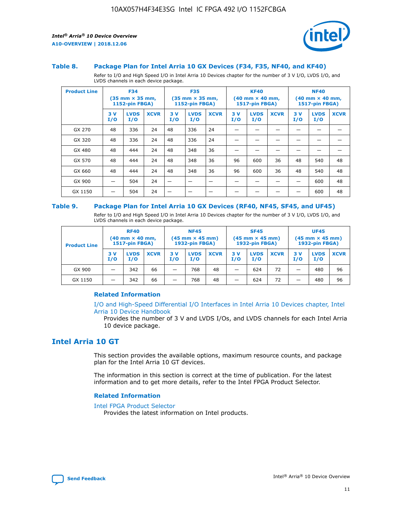

#### **Table 8. Package Plan for Intel Arria 10 GX Devices (F34, F35, NF40, and KF40)**

Refer to I/O and High Speed I/O in Intel Arria 10 Devices chapter for the number of 3 V I/O, LVDS I/O, and LVDS channels in each device package.

| <b>Product Line</b> | <b>F34</b><br>$(35 \text{ mm} \times 35 \text{ mm})$<br><b>1152-pin FBGA)</b> |                    | <b>F35</b><br>$(35 \text{ mm} \times 35 \text{ mm})$<br><b>1152-pin FBGA)</b> |           | <b>KF40</b><br>$(40$ mm $\times$ 40 mm,<br>1517-pin FBGA) |             |           | <b>NF40</b><br>$(40 \text{ mm} \times 40 \text{ mm})$<br>1517-pin FBGA) |             |           |                    |             |
|---------------------|-------------------------------------------------------------------------------|--------------------|-------------------------------------------------------------------------------|-----------|-----------------------------------------------------------|-------------|-----------|-------------------------------------------------------------------------|-------------|-----------|--------------------|-------------|
|                     | 3V<br>I/O                                                                     | <b>LVDS</b><br>I/O | <b>XCVR</b>                                                                   | 3V<br>I/O | <b>LVDS</b><br>I/O                                        | <b>XCVR</b> | 3V<br>I/O | <b>LVDS</b><br>I/O                                                      | <b>XCVR</b> | 3V<br>I/O | <b>LVDS</b><br>I/O | <b>XCVR</b> |
| GX 270              | 48                                                                            | 336                | 24                                                                            | 48        | 336                                                       | 24          |           |                                                                         |             |           |                    |             |
| GX 320              | 48                                                                            | 336                | 24                                                                            | 48        | 336                                                       | 24          |           |                                                                         |             |           |                    |             |
| GX 480              | 48                                                                            | 444                | 24                                                                            | 48        | 348                                                       | 36          |           |                                                                         |             |           |                    |             |
| GX 570              | 48                                                                            | 444                | 24                                                                            | 48        | 348                                                       | 36          | 96        | 600                                                                     | 36          | 48        | 540                | 48          |
| GX 660              | 48                                                                            | 444                | 24                                                                            | 48        | 348                                                       | 36          | 96        | 600                                                                     | 36          | 48        | 540                | 48          |
| GX 900              |                                                                               | 504                | 24                                                                            | —         |                                                           | -           |           |                                                                         |             |           | 600                | 48          |
| GX 1150             |                                                                               | 504                | 24                                                                            |           |                                                           |             |           |                                                                         |             |           | 600                | 48          |

#### **Table 9. Package Plan for Intel Arria 10 GX Devices (RF40, NF45, SF45, and UF45)**

Refer to I/O and High Speed I/O in Intel Arria 10 Devices chapter for the number of 3 V I/O, LVDS I/O, and LVDS channels in each device package.

| <b>Product Line</b> | <b>RF40</b><br>$(40$ mm $\times$ 40 mm,<br>1517-pin FBGA) |                    |             | <b>NF45</b><br>$(45 \text{ mm} \times 45 \text{ mm})$<br><b>1932-pin FBGA)</b> |                    |             | <b>SF45</b><br>$(45 \text{ mm} \times 45 \text{ mm})$<br><b>1932-pin FBGA)</b> |                    |             | <b>UF45</b><br>$(45 \text{ mm} \times 45 \text{ mm})$<br><b>1932-pin FBGA)</b> |                    |             |
|---------------------|-----------------------------------------------------------|--------------------|-------------|--------------------------------------------------------------------------------|--------------------|-------------|--------------------------------------------------------------------------------|--------------------|-------------|--------------------------------------------------------------------------------|--------------------|-------------|
|                     | 3V<br>I/O                                                 | <b>LVDS</b><br>I/O | <b>XCVR</b> | 3 V<br>I/O                                                                     | <b>LVDS</b><br>I/O | <b>XCVR</b> | 3 V<br>I/O                                                                     | <b>LVDS</b><br>I/O | <b>XCVR</b> | 3V<br>I/O                                                                      | <b>LVDS</b><br>I/O | <b>XCVR</b> |
| GX 900              |                                                           | 342                | 66          | _                                                                              | 768                | 48          |                                                                                | 624                | 72          |                                                                                | 480                | 96          |
| GX 1150             |                                                           | 342                | 66          | _                                                                              | 768                | 48          |                                                                                | 624                | 72          |                                                                                | 480                | 96          |

## **Related Information**

[I/O and High-Speed Differential I/O Interfaces in Intel Arria 10 Devices chapter, Intel](https://www.intel.com/content/www/us/en/programmable/documentation/sam1403482614086.html#sam1403482030321) [Arria 10 Device Handbook](https://www.intel.com/content/www/us/en/programmable/documentation/sam1403482614086.html#sam1403482030321)

Provides the number of 3 V and LVDS I/Os, and LVDS channels for each Intel Arria 10 device package.

# **Intel Arria 10 GT**

This section provides the available options, maximum resource counts, and package plan for the Intel Arria 10 GT devices.

The information in this section is correct at the time of publication. For the latest information and to get more details, refer to the Intel FPGA Product Selector.

#### **Related Information**

#### [Intel FPGA Product Selector](http://www.altera.com/products/selector/psg-selector.html)

Provides the latest information on Intel products.

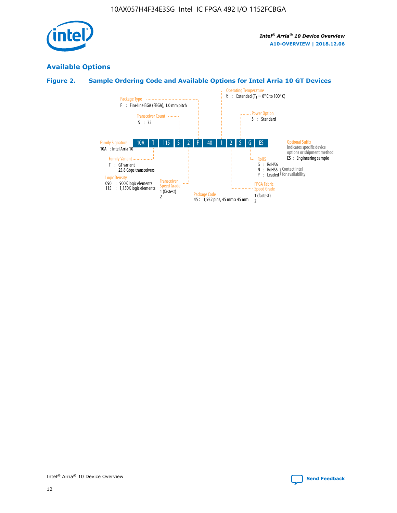

# **Available Options**

# **Figure 2. Sample Ordering Code and Available Options for Intel Arria 10 GT Devices**

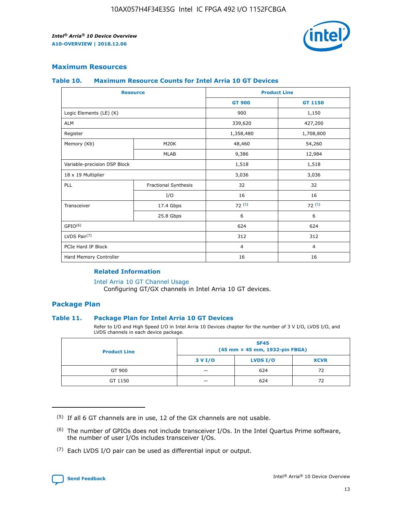

## **Maximum Resources**

#### **Table 10. Maximum Resource Counts for Intel Arria 10 GT Devices**

| <b>Resource</b>              |                      | <b>Product Line</b> |                |  |
|------------------------------|----------------------|---------------------|----------------|--|
|                              |                      | <b>GT 900</b>       | <b>GT 1150</b> |  |
| Logic Elements (LE) (K)      |                      | 900                 | 1,150          |  |
| <b>ALM</b>                   |                      | 339,620             | 427,200        |  |
| Register                     |                      | 1,358,480           | 1,708,800      |  |
| Memory (Kb)                  | M <sub>20</sub> K    | 48,460              | 54,260         |  |
|                              | <b>MLAB</b>          | 9,386               | 12,984         |  |
| Variable-precision DSP Block |                      | 1,518               | 1,518          |  |
| 18 x 19 Multiplier           |                      | 3,036               | 3,036          |  |
| PLL                          | Fractional Synthesis | 32                  | 32             |  |
|                              | I/O                  | 16                  | 16             |  |
| Transceiver                  | 17.4 Gbps            | 72(5)               | 72(5)          |  |
|                              | 25.8 Gbps            | 6                   | 6              |  |
| GPIO <sup>(6)</sup>          |                      | 624                 | 624            |  |
| LVDS Pair $(7)$              |                      | 312                 | 312            |  |
| PCIe Hard IP Block           |                      | $\overline{4}$      | $\overline{4}$ |  |
| Hard Memory Controller       |                      | 16                  | 16             |  |

#### **Related Information**

#### [Intel Arria 10 GT Channel Usage](https://www.intel.com/content/www/us/en/programmable/documentation/nik1398707230472.html#nik1398707008178)

Configuring GT/GX channels in Intel Arria 10 GT devices.

## **Package Plan**

## **Table 11. Package Plan for Intel Arria 10 GT Devices**

Refer to I/O and High Speed I/O in Intel Arria 10 Devices chapter for the number of 3 V I/O, LVDS I/O, and LVDS channels in each device package.

| <b>Product Line</b> | <b>SF45</b><br>(45 mm × 45 mm, 1932-pin FBGA) |                 |             |  |  |  |
|---------------------|-----------------------------------------------|-----------------|-------------|--|--|--|
|                     | 3 V I/O                                       | <b>LVDS I/O</b> | <b>XCVR</b> |  |  |  |
| GT 900              |                                               | 624             | 72          |  |  |  |
| GT 1150             |                                               | 624             | 72          |  |  |  |

<sup>(7)</sup> Each LVDS I/O pair can be used as differential input or output.



 $(5)$  If all 6 GT channels are in use, 12 of the GX channels are not usable.

<sup>(6)</sup> The number of GPIOs does not include transceiver I/Os. In the Intel Quartus Prime software, the number of user I/Os includes transceiver I/Os.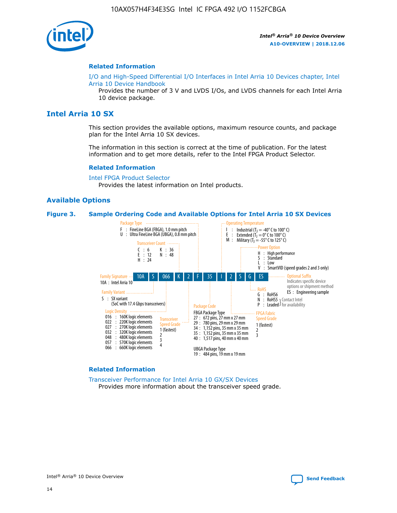

#### **Related Information**

[I/O and High-Speed Differential I/O Interfaces in Intel Arria 10 Devices chapter, Intel](https://www.intel.com/content/www/us/en/programmable/documentation/sam1403482614086.html#sam1403482030321) [Arria 10 Device Handbook](https://www.intel.com/content/www/us/en/programmable/documentation/sam1403482614086.html#sam1403482030321)

Provides the number of 3 V and LVDS I/Os, and LVDS channels for each Intel Arria 10 device package.

# **Intel Arria 10 SX**

This section provides the available options, maximum resource counts, and package plan for the Intel Arria 10 SX devices.

The information in this section is correct at the time of publication. For the latest information and to get more details, refer to the Intel FPGA Product Selector.

#### **Related Information**

[Intel FPGA Product Selector](http://www.altera.com/products/selector/psg-selector.html) Provides the latest information on Intel products.

## **Available Options**

#### **Figure 3. Sample Ordering Code and Available Options for Intel Arria 10 SX Devices**



#### **Related Information**

[Transceiver Performance for Intel Arria 10 GX/SX Devices](https://www.intel.com/content/www/us/en/programmable/documentation/mcn1413182292568.html#mcn1413213965502) Provides more information about the transceiver speed grade.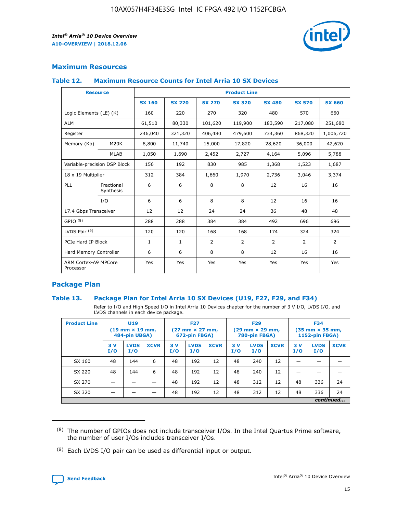

# **Maximum Resources**

## **Table 12. Maximum Resource Counts for Intel Arria 10 SX Devices**

| <b>Resource</b>                   |                         | <b>Product Line</b> |               |                |                |                |                |                |  |  |  |
|-----------------------------------|-------------------------|---------------------|---------------|----------------|----------------|----------------|----------------|----------------|--|--|--|
|                                   |                         | <b>SX 160</b>       | <b>SX 220</b> | <b>SX 270</b>  | <b>SX 320</b>  | <b>SX 480</b>  | <b>SX 570</b>  | <b>SX 660</b>  |  |  |  |
| Logic Elements (LE) (K)           |                         | 160                 | 220           | 270            | 320            | 480            | 570            | 660            |  |  |  |
| <b>ALM</b>                        |                         | 61,510              | 80,330        | 101,620        | 119,900        | 183,590        | 217,080        | 251,680        |  |  |  |
| Register                          |                         | 246,040             | 321,320       | 406,480        | 479,600        | 734,360        | 868,320        | 1,006,720      |  |  |  |
| Memory (Kb)                       | M <sub>20</sub> K       | 8,800               | 11,740        | 15,000         | 17,820         | 28,620         | 36,000         | 42,620         |  |  |  |
|                                   | <b>MLAB</b>             | 1,050               | 1,690         | 2,452          | 2,727          | 4,164          | 5,096          | 5,788          |  |  |  |
| Variable-precision DSP Block      |                         | 156                 | 192           | 830            | 985            | 1,368          | 1,523          | 1,687          |  |  |  |
| 18 x 19 Multiplier                |                         | 312                 | 384           | 1,660          | 1,970          | 2,736          | 3,046          | 3,374          |  |  |  |
| PLL                               | Fractional<br>Synthesis | 6                   | 6             | 8              | 8              | 12             | 16             | 16             |  |  |  |
|                                   | I/O                     | 6                   | 6             | 8              | 8              | 12             | 16             | 16             |  |  |  |
| 17.4 Gbps Transceiver             |                         | 12                  | 12            | 24             | 24             | 36             | 48             | 48             |  |  |  |
| GPIO <sup>(8)</sup>               |                         | 288                 | 288           | 384            | 384            | 492            | 696            | 696            |  |  |  |
| LVDS Pair $(9)$                   |                         | 120                 | 120           | 168            | 168            | 174            | 324            | 324            |  |  |  |
| PCIe Hard IP Block                |                         | $\mathbf{1}$        | $\mathbf{1}$  | $\overline{2}$ | $\overline{2}$ | $\overline{2}$ | $\overline{2}$ | $\overline{2}$ |  |  |  |
| Hard Memory Controller            |                         | 6                   | 6             | 8              | 8              | 12             | 16             | 16             |  |  |  |
| ARM Cortex-A9 MPCore<br>Processor |                         | Yes                 | Yes           | Yes            | Yes            | Yes            | Yes            | <b>Yes</b>     |  |  |  |

# **Package Plan**

## **Table 13. Package Plan for Intel Arria 10 SX Devices (U19, F27, F29, and F34)**

Refer to I/O and High Speed I/O in Intel Arria 10 Devices chapter for the number of 3 V I/O, LVDS I/O, and LVDS channels in each device package.

| <b>Product Line</b> | <b>U19</b><br>$(19 \text{ mm} \times 19 \text{ mm})$<br>484-pin UBGA) |                    | <b>F27</b><br>$(27 \text{ mm} \times 27 \text{ mm})$<br>672-pin FBGA) |           | <b>F29</b><br>$(29$ mm $\times$ 29 mm,<br>780-pin FBGA) |             |            | <b>F34</b><br>$(35 \text{ mm} \times 35 \text{ mm})$<br>1152-pin FBGA) |             |           |                    |             |
|---------------------|-----------------------------------------------------------------------|--------------------|-----------------------------------------------------------------------|-----------|---------------------------------------------------------|-------------|------------|------------------------------------------------------------------------|-------------|-----------|--------------------|-------------|
|                     | 3V<br>I/O                                                             | <b>LVDS</b><br>I/O | <b>XCVR</b>                                                           | 3V<br>I/O | <b>LVDS</b><br>I/O                                      | <b>XCVR</b> | 3 V<br>I/O | <b>LVDS</b><br>I/O                                                     | <b>XCVR</b> | 3V<br>I/O | <b>LVDS</b><br>I/O | <b>XCVR</b> |
| SX 160              | 48                                                                    | 144                | 6                                                                     | 48        | 192                                                     | 12          | 48         | 240                                                                    | 12          | –         |                    |             |
| SX 220              | 48                                                                    | 144                | 6                                                                     | 48        | 192                                                     | 12          | 48         | 240                                                                    | 12          |           |                    |             |
| SX 270              |                                                                       |                    |                                                                       | 48        | 192                                                     | 12          | 48         | 312                                                                    | 12          | 48        | 336                | 24          |
| SX 320              |                                                                       |                    |                                                                       | 48        | 192                                                     | 12          | 48         | 312                                                                    | 12          | 48        | 336                | 24          |
|                     | continued                                                             |                    |                                                                       |           |                                                         |             |            |                                                                        |             |           |                    |             |

 $(8)$  The number of GPIOs does not include transceiver I/Os. In the Intel Quartus Prime software, the number of user I/Os includes transceiver I/Os.

 $(9)$  Each LVDS I/O pair can be used as differential input or output.

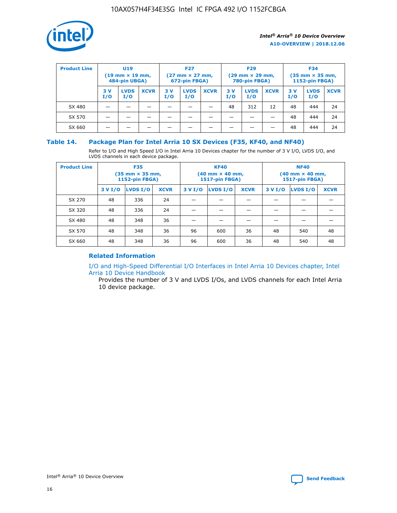

| <b>Product Line</b> | U <sub>19</sub><br>$(19 \text{ mm} \times 19 \text{ mm})$<br>484-pin UBGA) |                    |             | <b>F27</b><br>$(27 \text{ mm} \times 27 \text{ mm})$<br>672-pin FBGA) |                    | <b>F29</b><br>$(29 \text{ mm} \times 29 \text{ mm})$<br>780-pin FBGA) |           |                    | <b>F34</b><br>$(35$ mm $\times$ 35 mm,<br><b>1152-pin FBGA)</b> |           |                    |             |
|---------------------|----------------------------------------------------------------------------|--------------------|-------------|-----------------------------------------------------------------------|--------------------|-----------------------------------------------------------------------|-----------|--------------------|-----------------------------------------------------------------|-----------|--------------------|-------------|
|                     | 3 V<br>I/O                                                                 | <b>LVDS</b><br>I/O | <b>XCVR</b> | 3V<br>I/O                                                             | <b>LVDS</b><br>I/O | <b>XCVR</b>                                                           | 3V<br>I/O | <b>LVDS</b><br>I/O | <b>XCVR</b>                                                     | 3V<br>I/O | <b>LVDS</b><br>I/O | <b>XCVR</b> |
| SX 480              |                                                                            |                    |             |                                                                       |                    |                                                                       | 48        | 312                | 12                                                              | 48        | 444                | 24          |
| SX 570              |                                                                            |                    |             |                                                                       |                    |                                                                       |           |                    |                                                                 | 48        | 444                | 24          |
| SX 660              |                                                                            |                    |             |                                                                       |                    |                                                                       |           |                    |                                                                 | 48        | 444                | 24          |

## **Table 14. Package Plan for Intel Arria 10 SX Devices (F35, KF40, and NF40)**

Refer to I/O and High Speed I/O in Intel Arria 10 Devices chapter for the number of 3 V I/O, LVDS I/O, and LVDS channels in each device package.

| <b>Product Line</b> | <b>F35</b><br>$(35$ mm $\times$ 35 mm,<br><b>1152-pin FBGA)</b> |          |             |                                           | <b>KF40</b><br>(40 mm × 40 mm,<br>1517-pin FBGA) |    | <b>NF40</b><br>(40 mm × 40 mm,<br>1517-pin FBGA) |          |             |  |
|---------------------|-----------------------------------------------------------------|----------|-------------|-------------------------------------------|--------------------------------------------------|----|--------------------------------------------------|----------|-------------|--|
|                     | 3 V I/O                                                         | LVDS I/O | <b>XCVR</b> | <b>LVDS I/O</b><br><b>XCVR</b><br>3 V I/O |                                                  |    | 3 V I/O                                          | LVDS I/O | <b>XCVR</b> |  |
| SX 270              | 48                                                              | 336      | 24          |                                           |                                                  |    |                                                  |          |             |  |
| SX 320              | 48                                                              | 336      | 24          |                                           |                                                  |    |                                                  |          |             |  |
| SX 480              | 48                                                              | 348      | 36          |                                           |                                                  |    |                                                  |          |             |  |
| SX 570              | 48                                                              | 348      | 36          | 96                                        | 600                                              | 36 | 48                                               | 540      | 48          |  |
| SX 660              | 48                                                              | 348      | 36          | 96                                        | 600                                              | 36 | 48                                               | 540      | 48          |  |

# **Related Information**

[I/O and High-Speed Differential I/O Interfaces in Intel Arria 10 Devices chapter, Intel](https://www.intel.com/content/www/us/en/programmable/documentation/sam1403482614086.html#sam1403482030321) [Arria 10 Device Handbook](https://www.intel.com/content/www/us/en/programmable/documentation/sam1403482614086.html#sam1403482030321)

Provides the number of 3 V and LVDS I/Os, and LVDS channels for each Intel Arria 10 device package.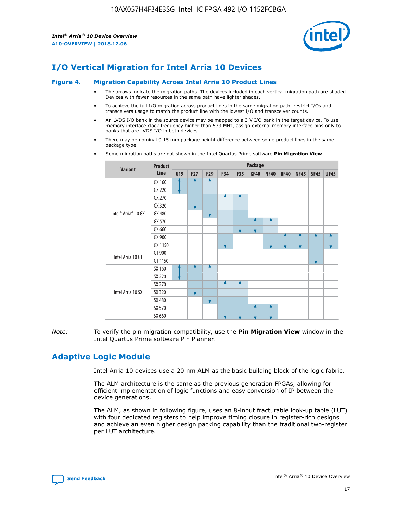

# **I/O Vertical Migration for Intel Arria 10 Devices**

#### **Figure 4. Migration Capability Across Intel Arria 10 Product Lines**

- The arrows indicate the migration paths. The devices included in each vertical migration path are shaded. Devices with fewer resources in the same path have lighter shades.
- To achieve the full I/O migration across product lines in the same migration path, restrict I/Os and transceivers usage to match the product line with the lowest I/O and transceiver counts.
- An LVDS I/O bank in the source device may be mapped to a 3 V I/O bank in the target device. To use memory interface clock frequency higher than 533 MHz, assign external memory interface pins only to banks that are LVDS I/O in both devices.
- There may be nominal 0.15 mm package height difference between some product lines in the same package type.
	- **Variant Product Line Package U19 F27 F29 F34 F35 KF40 NF40 RF40 NF45 SF45 UF45** Intel® Arria® 10 GX GX 160 GX 220 GX 270 GX 320 GX 480 GX 570 GX 660 GX 900 GX 1150 Intel Arria 10 GT GT 900 GT 1150 Intel Arria 10 SX SX 160 SX 220 SX 270 SX 320 SX 480 SX 570 SX 660
- Some migration paths are not shown in the Intel Quartus Prime software **Pin Migration View**.

*Note:* To verify the pin migration compatibility, use the **Pin Migration View** window in the Intel Quartus Prime software Pin Planner.

# **Adaptive Logic Module**

Intel Arria 10 devices use a 20 nm ALM as the basic building block of the logic fabric.

The ALM architecture is the same as the previous generation FPGAs, allowing for efficient implementation of logic functions and easy conversion of IP between the device generations.

The ALM, as shown in following figure, uses an 8-input fracturable look-up table (LUT) with four dedicated registers to help improve timing closure in register-rich designs and achieve an even higher design packing capability than the traditional two-register per LUT architecture.

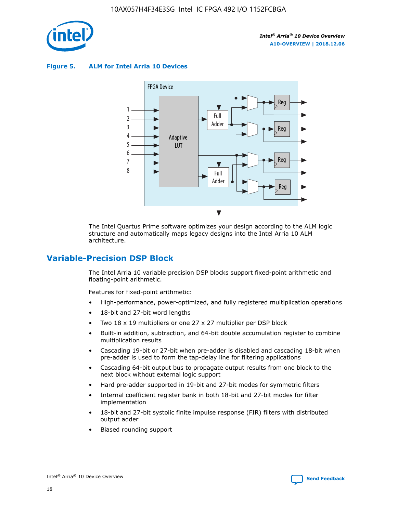

**Figure 5. ALM for Intel Arria 10 Devices**



The Intel Quartus Prime software optimizes your design according to the ALM logic structure and automatically maps legacy designs into the Intel Arria 10 ALM architecture.

# **Variable-Precision DSP Block**

The Intel Arria 10 variable precision DSP blocks support fixed-point arithmetic and floating-point arithmetic.

Features for fixed-point arithmetic:

- High-performance, power-optimized, and fully registered multiplication operations
- 18-bit and 27-bit word lengths
- Two 18 x 19 multipliers or one 27 x 27 multiplier per DSP block
- Built-in addition, subtraction, and 64-bit double accumulation register to combine multiplication results
- Cascading 19-bit or 27-bit when pre-adder is disabled and cascading 18-bit when pre-adder is used to form the tap-delay line for filtering applications
- Cascading 64-bit output bus to propagate output results from one block to the next block without external logic support
- Hard pre-adder supported in 19-bit and 27-bit modes for symmetric filters
- Internal coefficient register bank in both 18-bit and 27-bit modes for filter implementation
- 18-bit and 27-bit systolic finite impulse response (FIR) filters with distributed output adder
- Biased rounding support

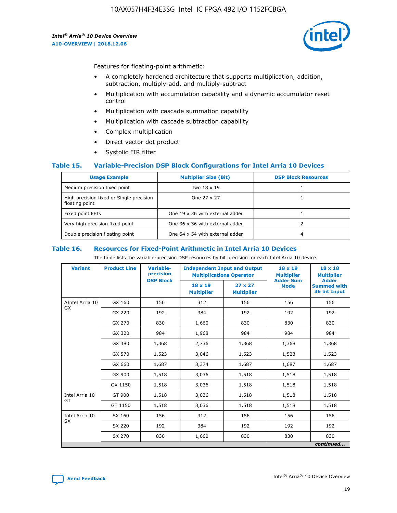

Features for floating-point arithmetic:

- A completely hardened architecture that supports multiplication, addition, subtraction, multiply-add, and multiply-subtract
- Multiplication with accumulation capability and a dynamic accumulator reset control
- Multiplication with cascade summation capability
- Multiplication with cascade subtraction capability
- Complex multiplication
- Direct vector dot product
- Systolic FIR filter

## **Table 15. Variable-Precision DSP Block Configurations for Intel Arria 10 Devices**

| <b>Usage Example</b>                                       | <b>Multiplier Size (Bit)</b>    | <b>DSP Block Resources</b> |
|------------------------------------------------------------|---------------------------------|----------------------------|
| Medium precision fixed point                               | Two 18 x 19                     |                            |
| High precision fixed or Single precision<br>floating point | One 27 x 27                     |                            |
| Fixed point FFTs                                           | One 19 x 36 with external adder |                            |
| Very high precision fixed point                            | One 36 x 36 with external adder |                            |
| Double precision floating point                            | One 54 x 54 with external adder | 4                          |

#### **Table 16. Resources for Fixed-Point Arithmetic in Intel Arria 10 Devices**

The table lists the variable-precision DSP resources by bit precision for each Intel Arria 10 device.

| <b>Variant</b>        | <b>Product Line</b> | <b>Variable-</b><br>precision<br><b>DSP Block</b> | <b>Independent Input and Output</b><br><b>Multiplications Operator</b> |                                     | $18 \times 19$<br><b>Multiplier</b><br><b>Adder Sum</b> | $18 \times 18$<br><b>Multiplier</b><br><b>Adder</b> |
|-----------------------|---------------------|---------------------------------------------------|------------------------------------------------------------------------|-------------------------------------|---------------------------------------------------------|-----------------------------------------------------|
|                       |                     |                                                   | 18 x 19<br><b>Multiplier</b>                                           | $27 \times 27$<br><b>Multiplier</b> | <b>Mode</b>                                             | <b>Summed with</b><br>36 bit Input                  |
| AIntel Arria 10<br>GX | GX 160              | 156                                               | 312                                                                    | 156                                 | 156                                                     | 156                                                 |
|                       | GX 220              | 192                                               | 384                                                                    | 192                                 | 192                                                     | 192                                                 |
|                       | GX 270              | 830                                               | 1,660                                                                  | 830                                 | 830                                                     | 830                                                 |
|                       | GX 320              | 984                                               | 1,968                                                                  | 984                                 | 984                                                     | 984                                                 |
|                       | GX 480              | 1,368                                             | 2,736                                                                  | 1,368                               | 1,368                                                   | 1,368                                               |
|                       | GX 570              | 1,523                                             | 3,046                                                                  | 1,523                               | 1,523                                                   | 1,523                                               |
|                       | GX 660              | 1,687                                             | 3,374                                                                  | 1,687                               | 1,687                                                   | 1,687                                               |
|                       | GX 900              | 1,518                                             | 3,036                                                                  | 1,518                               | 1,518                                                   | 1,518                                               |
|                       | GX 1150             | 1,518                                             | 3,036                                                                  | 1,518                               | 1,518                                                   | 1,518                                               |
| Intel Arria 10        | GT 900              | 1,518                                             | 3,036                                                                  | 1,518                               | 1,518                                                   | 1,518                                               |
| GT                    | GT 1150             | 1,518                                             | 3,036                                                                  | 1,518                               | 1,518                                                   | 1,518                                               |
| Intel Arria 10        | SX 160              | 156                                               | 312                                                                    | 156                                 | 156                                                     | 156                                                 |
| <b>SX</b>             | SX 220              | 192                                               | 384                                                                    | 192                                 | 192                                                     | 192                                                 |
|                       | SX 270              | 830                                               | 1,660                                                                  | 830                                 | 830                                                     | 830                                                 |
|                       |                     |                                                   |                                                                        |                                     |                                                         | continued                                           |

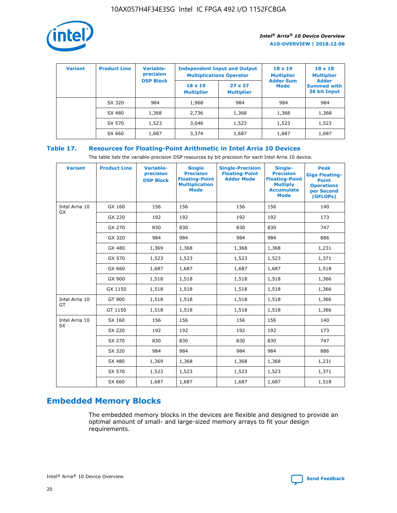

| <b>Variant</b> | <b>Product Line</b> | Variable-<br>precision | <b>Independent Input and Output</b><br><b>Multiplications Operator</b> |                                     | $18 \times 19$<br><b>Multiplier</b> | $18 \times 18$<br><b>Multiplier</b><br><b>Adder</b> |  |
|----------------|---------------------|------------------------|------------------------------------------------------------------------|-------------------------------------|-------------------------------------|-----------------------------------------------------|--|
|                |                     | <b>DSP Block</b>       | $18 \times 19$<br><b>Multiplier</b>                                    | $27 \times 27$<br><b>Multiplier</b> | <b>Adder Sum</b><br><b>Mode</b>     | <b>Summed with</b><br>36 bit Input                  |  |
|                | SX 320              | 984                    | 1,968                                                                  | 984                                 | 984                                 | 984                                                 |  |
|                | SX 480              | 1,368                  | 2,736                                                                  | 1,368                               | 1,368                               | 1,368                                               |  |
|                | SX 570              | 1,523                  | 3,046                                                                  | 1,523                               | 1,523                               | 1,523                                               |  |
|                | SX 660              | 1,687                  | 3,374                                                                  | 1,687                               | 1,687                               | 1,687                                               |  |

# **Table 17. Resources for Floating-Point Arithmetic in Intel Arria 10 Devices**

The table lists the variable-precision DSP resources by bit precision for each Intel Arria 10 device.

| <b>Variant</b> | <b>Product Line</b> | <b>Variable-</b><br>precision<br><b>DSP Block</b> | <b>Single</b><br><b>Precision</b><br><b>Floating-Point</b><br><b>Multiplication</b><br><b>Mode</b> | <b>Single-Precision</b><br><b>Floating-Point</b><br><b>Adder Mode</b> | Single-<br><b>Precision</b><br><b>Floating-Point</b><br><b>Multiply</b><br><b>Accumulate</b><br><b>Mode</b> | <b>Peak</b><br><b>Giga Floating-</b><br><b>Point</b><br><b>Operations</b><br>per Second<br>(GFLOPs) |
|----------------|---------------------|---------------------------------------------------|----------------------------------------------------------------------------------------------------|-----------------------------------------------------------------------|-------------------------------------------------------------------------------------------------------------|-----------------------------------------------------------------------------------------------------|
| Intel Arria 10 | GX 160              | 156                                               | 156                                                                                                | 156                                                                   | 156                                                                                                         | 140                                                                                                 |
| <b>GX</b>      | GX 220              | 192                                               | 192                                                                                                | 192                                                                   | 192                                                                                                         | 173                                                                                                 |
|                | GX 270              | 830                                               | 830                                                                                                | 830                                                                   | 830                                                                                                         | 747                                                                                                 |
|                | GX 320              | 984                                               | 984                                                                                                | 984                                                                   | 984                                                                                                         | 886                                                                                                 |
|                | GX 480              | 1,369                                             | 1,368                                                                                              | 1,368                                                                 | 1,368                                                                                                       | 1,231                                                                                               |
|                | GX 570              | 1,523                                             | 1,523                                                                                              | 1,523                                                                 | 1,523                                                                                                       | 1,371                                                                                               |
|                | GX 660              | 1,687                                             | 1,687                                                                                              | 1,687                                                                 | 1,687                                                                                                       | 1,518                                                                                               |
|                | GX 900              | 1,518                                             | 1,518                                                                                              | 1,518                                                                 | 1,518                                                                                                       | 1,366                                                                                               |
|                | GX 1150             | 1,518                                             | 1,518                                                                                              | 1,518                                                                 | 1,518                                                                                                       | 1,366                                                                                               |
| Intel Arria 10 | GT 900              | 1,518                                             | 1,518                                                                                              | 1,518                                                                 | 1,518                                                                                                       | 1,366                                                                                               |
| GT             | GT 1150             | 1,518                                             | 1,518                                                                                              | 1,518                                                                 | 1,518                                                                                                       | 1,366                                                                                               |
| Intel Arria 10 | SX 160              | 156                                               | 156                                                                                                | 156                                                                   | 156                                                                                                         | 140                                                                                                 |
| SX             | SX 220              | 192                                               | 192                                                                                                | 192                                                                   | 192                                                                                                         | 173                                                                                                 |
|                | SX 270              | 830                                               | 830                                                                                                | 830                                                                   | 830                                                                                                         | 747                                                                                                 |
|                | SX 320              | 984                                               | 984                                                                                                | 984                                                                   | 984                                                                                                         | 886                                                                                                 |
|                | SX 480              | 1,369                                             | 1,368                                                                                              | 1,368                                                                 | 1,368                                                                                                       | 1,231                                                                                               |
|                | SX 570              | 1,523                                             | 1,523                                                                                              | 1,523                                                                 | 1,523                                                                                                       | 1,371                                                                                               |
|                | SX 660              | 1,687                                             | 1,687                                                                                              | 1,687                                                                 | 1,687                                                                                                       | 1,518                                                                                               |

# **Embedded Memory Blocks**

The embedded memory blocks in the devices are flexible and designed to provide an optimal amount of small- and large-sized memory arrays to fit your design requirements.

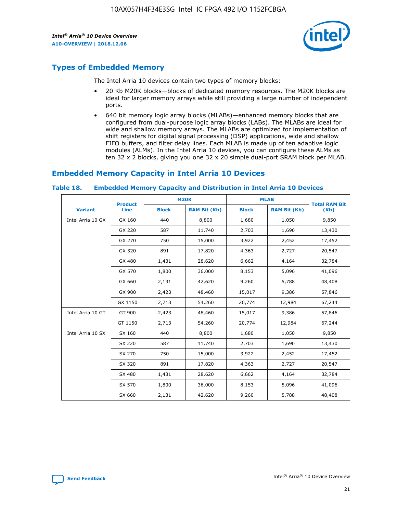

# **Types of Embedded Memory**

The Intel Arria 10 devices contain two types of memory blocks:

- 20 Kb M20K blocks—blocks of dedicated memory resources. The M20K blocks are ideal for larger memory arrays while still providing a large number of independent ports.
- 640 bit memory logic array blocks (MLABs)—enhanced memory blocks that are configured from dual-purpose logic array blocks (LABs). The MLABs are ideal for wide and shallow memory arrays. The MLABs are optimized for implementation of shift registers for digital signal processing (DSP) applications, wide and shallow FIFO buffers, and filter delay lines. Each MLAB is made up of ten adaptive logic modules (ALMs). In the Intel Arria 10 devices, you can configure these ALMs as ten 32 x 2 blocks, giving you one 32 x 20 simple dual-port SRAM block per MLAB.

# **Embedded Memory Capacity in Intel Arria 10 Devices**

|                   | <b>Product</b> |              | <b>M20K</b>         | <b>MLAB</b>  |                     | <b>Total RAM Bit</b> |  |
|-------------------|----------------|--------------|---------------------|--------------|---------------------|----------------------|--|
| <b>Variant</b>    | Line           | <b>Block</b> | <b>RAM Bit (Kb)</b> | <b>Block</b> | <b>RAM Bit (Kb)</b> | (Kb)                 |  |
| Intel Arria 10 GX | GX 160         | 440          | 8,800               | 1,680        | 1,050               | 9,850                |  |
|                   | GX 220         | 587          | 11,740              | 2,703        | 1,690               | 13,430               |  |
|                   | GX 270         | 750          | 15,000              | 3,922        | 2,452               | 17,452               |  |
|                   | GX 320         | 891          | 17,820              | 4,363        | 2,727               | 20,547               |  |
|                   | GX 480         | 1,431        | 28,620              | 6,662        | 4,164               | 32,784               |  |
|                   | GX 570         | 1,800        | 36,000              | 8,153        | 5,096               | 41,096               |  |
|                   | GX 660         | 2,131        | 42,620              | 9,260        | 5,788               | 48,408               |  |
|                   | GX 900         | 2,423        | 48,460              | 15,017       | 9,386               | 57,846               |  |
|                   | GX 1150        | 2,713        | 54,260              | 20,774       | 12,984              | 67,244               |  |
| Intel Arria 10 GT | GT 900         | 2,423        | 48,460              | 15,017       | 9,386               | 57,846               |  |
|                   | GT 1150        | 2,713        | 54,260              | 20,774       | 12,984              | 67,244               |  |
| Intel Arria 10 SX | SX 160         | 440          | 8,800               | 1,680        | 1,050               | 9,850                |  |
|                   | SX 220         | 587          | 11,740              | 2,703        | 1,690               | 13,430               |  |
|                   | SX 270         | 750          | 15,000              | 3,922        | 2,452               | 17,452               |  |
|                   | SX 320         | 891          | 17,820              | 4,363        | 2,727               | 20,547               |  |
|                   | SX 480         | 1,431        | 28,620              | 6,662        | 4,164               | 32,784               |  |
|                   | SX 570         | 1,800        | 36,000              | 8,153        | 5,096               | 41,096               |  |
|                   | SX 660         | 2,131        | 42,620              | 9,260        | 5,788               | 48,408               |  |

#### **Table 18. Embedded Memory Capacity and Distribution in Intel Arria 10 Devices**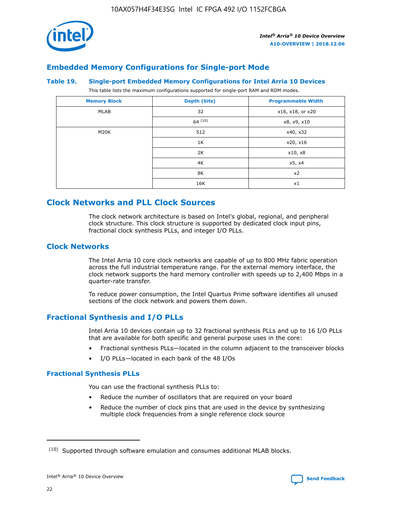

# **Embedded Memory Configurations for Single-port Mode**

#### **Table 19. Single-port Embedded Memory Configurations for Intel Arria 10 Devices**

This table lists the maximum configurations supported for single-port RAM and ROM modes.

| <b>Memory Block</b> | Depth (bits) | <b>Programmable Width</b> |
|---------------------|--------------|---------------------------|
| MLAB                | 32           | x16, x18, or x20          |
|                     | 64(10)       | x8, x9, x10               |
| M20K                | 512          | x40, x32                  |
|                     | 1K           | x20, x16                  |
|                     | 2K           | x10, x8                   |
|                     | 4K           | x5, x4                    |
|                     | 8K           | x2                        |
|                     | 16K          | x1                        |

# **Clock Networks and PLL Clock Sources**

The clock network architecture is based on Intel's global, regional, and peripheral clock structure. This clock structure is supported by dedicated clock input pins, fractional clock synthesis PLLs, and integer I/O PLLs.

# **Clock Networks**

The Intel Arria 10 core clock networks are capable of up to 800 MHz fabric operation across the full industrial temperature range. For the external memory interface, the clock network supports the hard memory controller with speeds up to 2,400 Mbps in a quarter-rate transfer.

To reduce power consumption, the Intel Quartus Prime software identifies all unused sections of the clock network and powers them down.

# **Fractional Synthesis and I/O PLLs**

Intel Arria 10 devices contain up to 32 fractional synthesis PLLs and up to 16 I/O PLLs that are available for both specific and general purpose uses in the core:

- Fractional synthesis PLLs—located in the column adjacent to the transceiver blocks
- I/O PLLs—located in each bank of the 48 I/Os

## **Fractional Synthesis PLLs**

You can use the fractional synthesis PLLs to:

- Reduce the number of oscillators that are required on your board
- Reduce the number of clock pins that are used in the device by synthesizing multiple clock frequencies from a single reference clock source

<sup>(10)</sup> Supported through software emulation and consumes additional MLAB blocks.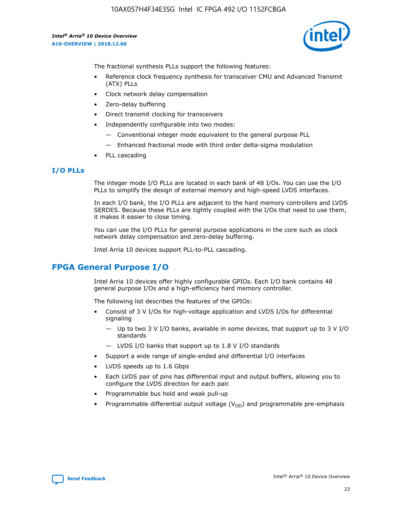

The fractional synthesis PLLs support the following features:

- Reference clock frequency synthesis for transceiver CMU and Advanced Transmit (ATX) PLLs
- Clock network delay compensation
- Zero-delay buffering
- Direct transmit clocking for transceivers
- Independently configurable into two modes:
	- Conventional integer mode equivalent to the general purpose PLL
	- Enhanced fractional mode with third order delta-sigma modulation
- PLL cascading

## **I/O PLLs**

The integer mode I/O PLLs are located in each bank of 48 I/Os. You can use the I/O PLLs to simplify the design of external memory and high-speed LVDS interfaces.

In each I/O bank, the I/O PLLs are adjacent to the hard memory controllers and LVDS SERDES. Because these PLLs are tightly coupled with the I/Os that need to use them, it makes it easier to close timing.

You can use the I/O PLLs for general purpose applications in the core such as clock network delay compensation and zero-delay buffering.

Intel Arria 10 devices support PLL-to-PLL cascading.

# **FPGA General Purpose I/O**

Intel Arria 10 devices offer highly configurable GPIOs. Each I/O bank contains 48 general purpose I/Os and a high-efficiency hard memory controller.

The following list describes the features of the GPIOs:

- Consist of 3 V I/Os for high-voltage application and LVDS I/Os for differential signaling
	- Up to two 3 V I/O banks, available in some devices, that support up to 3 V I/O standards
	- LVDS I/O banks that support up to 1.8 V I/O standards
- Support a wide range of single-ended and differential I/O interfaces
- LVDS speeds up to 1.6 Gbps
- Each LVDS pair of pins has differential input and output buffers, allowing you to configure the LVDS direction for each pair.
- Programmable bus hold and weak pull-up
- Programmable differential output voltage  $(V_{OD})$  and programmable pre-emphasis

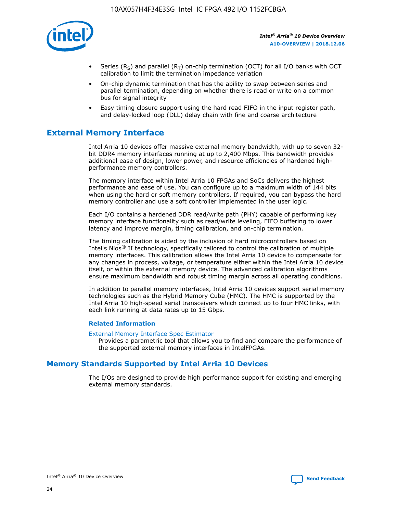

- Series (R<sub>S</sub>) and parallel (R<sub>T</sub>) on-chip termination (OCT) for all I/O banks with OCT calibration to limit the termination impedance variation
- On-chip dynamic termination that has the ability to swap between series and parallel termination, depending on whether there is read or write on a common bus for signal integrity
- Easy timing closure support using the hard read FIFO in the input register path, and delay-locked loop (DLL) delay chain with fine and coarse architecture

# **External Memory Interface**

Intel Arria 10 devices offer massive external memory bandwidth, with up to seven 32 bit DDR4 memory interfaces running at up to 2,400 Mbps. This bandwidth provides additional ease of design, lower power, and resource efficiencies of hardened highperformance memory controllers.

The memory interface within Intel Arria 10 FPGAs and SoCs delivers the highest performance and ease of use. You can configure up to a maximum width of 144 bits when using the hard or soft memory controllers. If required, you can bypass the hard memory controller and use a soft controller implemented in the user logic.

Each I/O contains a hardened DDR read/write path (PHY) capable of performing key memory interface functionality such as read/write leveling, FIFO buffering to lower latency and improve margin, timing calibration, and on-chip termination.

The timing calibration is aided by the inclusion of hard microcontrollers based on Intel's Nios® II technology, specifically tailored to control the calibration of multiple memory interfaces. This calibration allows the Intel Arria 10 device to compensate for any changes in process, voltage, or temperature either within the Intel Arria 10 device itself, or within the external memory device. The advanced calibration algorithms ensure maximum bandwidth and robust timing margin across all operating conditions.

In addition to parallel memory interfaces, Intel Arria 10 devices support serial memory technologies such as the Hybrid Memory Cube (HMC). The HMC is supported by the Intel Arria 10 high-speed serial transceivers which connect up to four HMC links, with each link running at data rates up to 15 Gbps.

## **Related Information**

#### [External Memory Interface Spec Estimator](http://www.altera.com/technology/memory/estimator/mem-emif-index.html)

Provides a parametric tool that allows you to find and compare the performance of the supported external memory interfaces in IntelFPGAs.

# **Memory Standards Supported by Intel Arria 10 Devices**

The I/Os are designed to provide high performance support for existing and emerging external memory standards.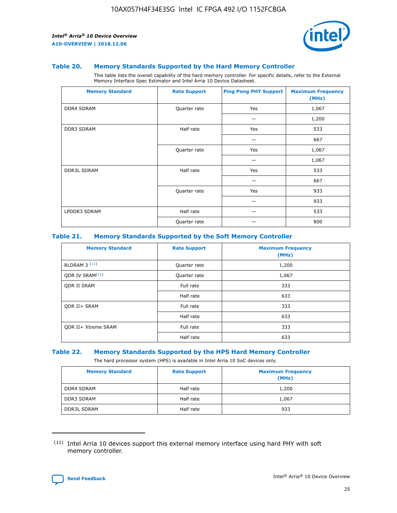

#### **Table 20. Memory Standards Supported by the Hard Memory Controller**

This table lists the overall capability of the hard memory controller. For specific details, refer to the External Memory Interface Spec Estimator and Intel Arria 10 Device Datasheet.

| <b>Memory Standard</b> | <b>Rate Support</b> | <b>Ping Pong PHY Support</b> | <b>Maximum Frequency</b><br>(MHz) |
|------------------------|---------------------|------------------------------|-----------------------------------|
| <b>DDR4 SDRAM</b>      | Quarter rate        | Yes                          | 1,067                             |
|                        |                     |                              | 1,200                             |
| DDR3 SDRAM             | Half rate           | Yes                          | 533                               |
|                        |                     |                              | 667                               |
|                        | Quarter rate        | Yes                          | 1,067                             |
|                        |                     |                              | 1,067                             |
| <b>DDR3L SDRAM</b>     | Half rate           | Yes                          | 533                               |
|                        |                     |                              | 667                               |
|                        | Quarter rate        | Yes                          | 933                               |
|                        |                     |                              | 933                               |
| LPDDR3 SDRAM           | Half rate           |                              | 533                               |
|                        | Quarter rate        |                              | 800                               |

## **Table 21. Memory Standards Supported by the Soft Memory Controller**

| <b>Memory Standard</b>      | <b>Rate Support</b> | <b>Maximum Frequency</b><br>(MHz) |
|-----------------------------|---------------------|-----------------------------------|
| <b>RLDRAM 3 (11)</b>        | Quarter rate        | 1,200                             |
| ODR IV SRAM <sup>(11)</sup> | Quarter rate        | 1,067                             |
| <b>ODR II SRAM</b>          | Full rate           | 333                               |
|                             | Half rate           | 633                               |
| <b>ODR II+ SRAM</b>         | Full rate           | 333                               |
|                             | Half rate           | 633                               |
| <b>ODR II+ Xtreme SRAM</b>  | Full rate           | 333                               |
|                             | Half rate           | 633                               |

#### **Table 22. Memory Standards Supported by the HPS Hard Memory Controller**

The hard processor system (HPS) is available in Intel Arria 10 SoC devices only.

| <b>Memory Standard</b> | <b>Rate Support</b> | <b>Maximum Frequency</b><br>(MHz) |
|------------------------|---------------------|-----------------------------------|
| <b>DDR4 SDRAM</b>      | Half rate           | 1,200                             |
| <b>DDR3 SDRAM</b>      | Half rate           | 1,067                             |
| <b>DDR3L SDRAM</b>     | Half rate           | 933                               |

<sup>(11)</sup> Intel Arria 10 devices support this external memory interface using hard PHY with soft memory controller.

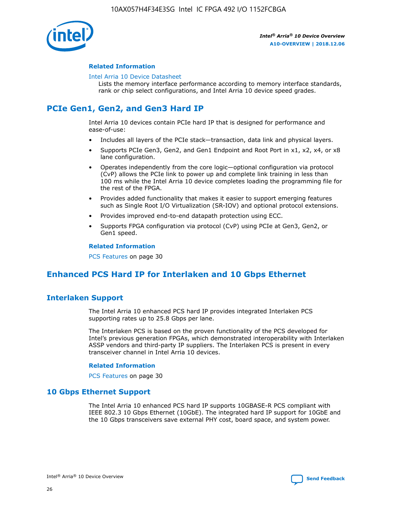

## **Related Information**

#### [Intel Arria 10 Device Datasheet](https://www.intel.com/content/www/us/en/programmable/documentation/mcn1413182292568.html#mcn1413182153340)

Lists the memory interface performance according to memory interface standards, rank or chip select configurations, and Intel Arria 10 device speed grades.

# **PCIe Gen1, Gen2, and Gen3 Hard IP**

Intel Arria 10 devices contain PCIe hard IP that is designed for performance and ease-of-use:

- Includes all layers of the PCIe stack—transaction, data link and physical layers.
- Supports PCIe Gen3, Gen2, and Gen1 Endpoint and Root Port in x1, x2, x4, or x8 lane configuration.
- Operates independently from the core logic—optional configuration via protocol (CvP) allows the PCIe link to power up and complete link training in less than 100 ms while the Intel Arria 10 device completes loading the programming file for the rest of the FPGA.
- Provides added functionality that makes it easier to support emerging features such as Single Root I/O Virtualization (SR-IOV) and optional protocol extensions.
- Provides improved end-to-end datapath protection using ECC.
- Supports FPGA configuration via protocol (CvP) using PCIe at Gen3, Gen2, or Gen1 speed.

#### **Related Information**

PCS Features on page 30

# **Enhanced PCS Hard IP for Interlaken and 10 Gbps Ethernet**

# **Interlaken Support**

The Intel Arria 10 enhanced PCS hard IP provides integrated Interlaken PCS supporting rates up to 25.8 Gbps per lane.

The Interlaken PCS is based on the proven functionality of the PCS developed for Intel's previous generation FPGAs, which demonstrated interoperability with Interlaken ASSP vendors and third-party IP suppliers. The Interlaken PCS is present in every transceiver channel in Intel Arria 10 devices.

## **Related Information**

PCS Features on page 30

# **10 Gbps Ethernet Support**

The Intel Arria 10 enhanced PCS hard IP supports 10GBASE-R PCS compliant with IEEE 802.3 10 Gbps Ethernet (10GbE). The integrated hard IP support for 10GbE and the 10 Gbps transceivers save external PHY cost, board space, and system power.

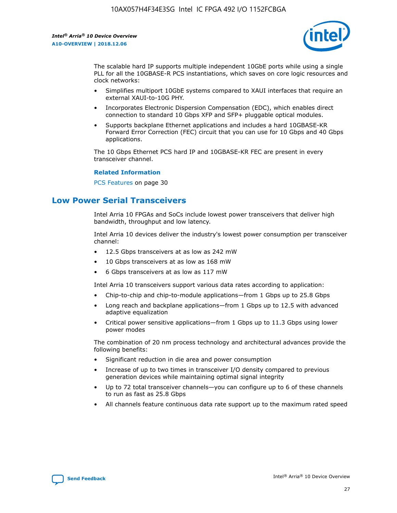

The scalable hard IP supports multiple independent 10GbE ports while using a single PLL for all the 10GBASE-R PCS instantiations, which saves on core logic resources and clock networks:

- Simplifies multiport 10GbE systems compared to XAUI interfaces that require an external XAUI-to-10G PHY.
- Incorporates Electronic Dispersion Compensation (EDC), which enables direct connection to standard 10 Gbps XFP and SFP+ pluggable optical modules.
- Supports backplane Ethernet applications and includes a hard 10GBASE-KR Forward Error Correction (FEC) circuit that you can use for 10 Gbps and 40 Gbps applications.

The 10 Gbps Ethernet PCS hard IP and 10GBASE-KR FEC are present in every transceiver channel.

#### **Related Information**

PCS Features on page 30

# **Low Power Serial Transceivers**

Intel Arria 10 FPGAs and SoCs include lowest power transceivers that deliver high bandwidth, throughput and low latency.

Intel Arria 10 devices deliver the industry's lowest power consumption per transceiver channel:

- 12.5 Gbps transceivers at as low as 242 mW
- 10 Gbps transceivers at as low as 168 mW
- 6 Gbps transceivers at as low as 117 mW

Intel Arria 10 transceivers support various data rates according to application:

- Chip-to-chip and chip-to-module applications—from 1 Gbps up to 25.8 Gbps
- Long reach and backplane applications—from 1 Gbps up to 12.5 with advanced adaptive equalization
- Critical power sensitive applications—from 1 Gbps up to 11.3 Gbps using lower power modes

The combination of 20 nm process technology and architectural advances provide the following benefits:

- Significant reduction in die area and power consumption
- Increase of up to two times in transceiver I/O density compared to previous generation devices while maintaining optimal signal integrity
- Up to 72 total transceiver channels—you can configure up to 6 of these channels to run as fast as 25.8 Gbps
- All channels feature continuous data rate support up to the maximum rated speed

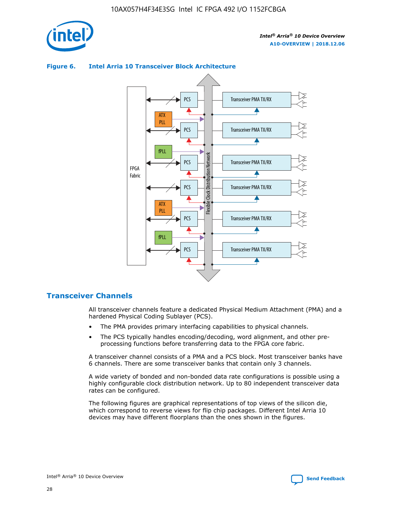



## **Figure 6. Intel Arria 10 Transceiver Block Architecture**

# **Transceiver Channels**

All transceiver channels feature a dedicated Physical Medium Attachment (PMA) and a hardened Physical Coding Sublayer (PCS).

- The PMA provides primary interfacing capabilities to physical channels.
- The PCS typically handles encoding/decoding, word alignment, and other preprocessing functions before transferring data to the FPGA core fabric.

A transceiver channel consists of a PMA and a PCS block. Most transceiver banks have 6 channels. There are some transceiver banks that contain only 3 channels.

A wide variety of bonded and non-bonded data rate configurations is possible using a highly configurable clock distribution network. Up to 80 independent transceiver data rates can be configured.

The following figures are graphical representations of top views of the silicon die, which correspond to reverse views for flip chip packages. Different Intel Arria 10 devices may have different floorplans than the ones shown in the figures.

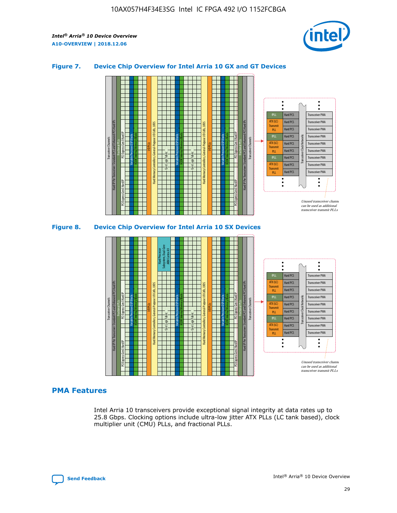

## **Figure 7. Device Chip Overview for Intel Arria 10 GX and GT Devices**



#### M20K Internal Memory Blocks Core Logic Fabric Transceiver Channels Hard IP Per Transceiver: Standard PCS and Enhanced PCS Hard IPs PCI Express Gen3 Hard IP Fractional PLLs M20K Internal Memory Blocks PCI Express Gen3 Hard IP Variable Precision DSP Blocks I/O PLLs Hard Memory Controllers, General-Purpose I/O Cells, LVDS Hard Processor Subsystem, Dual-Core ARM Cortex A9 M20K Internal Memory Blocks Variable Precision DSP Blocks M20K Internal Memory Blocks Core Logic Fabric I/O PLLs Hard Memory Controllers, General-Purpose I/O Cells, LVDS M20K Internal Memory Blocks Variable Precision DSP Blocks M20K Internal Memory Blocks Transceiver Channels Hard IP Per Transceiver: Standard PCS and Enhanced PCS Hard IPs PCI Express Gen3 Hard IP Fractional PLLs PCI Express Gen3 Hard IP Hard PCS Hard PCS Hard PCS Hard PCS Hard PCS Hard PCS Hard PCS Hard PCS Transceiver PMA Transceiver PMA Transceiver PMA Transceiver PMA Transceiver PMA Transceiver PMA Unused transceiver chann can be used as additional transceiver transmit PLLs Transceiver PMA Transceiver PMA Transceiver Clock Networks ATX (LC) **Transmit** PLL fPLL ATX (LC) Transmi PLL fPLL ATX (LC) **Transmit** PLL

# **PMA Features**

Intel Arria 10 transceivers provide exceptional signal integrity at data rates up to 25.8 Gbps. Clocking options include ultra-low jitter ATX PLLs (LC tank based), clock multiplier unit (CMU) PLLs, and fractional PLLs.

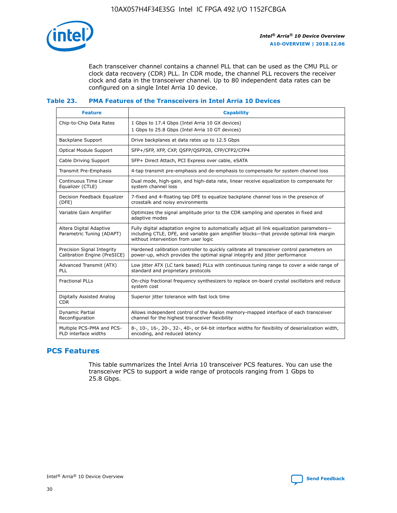

Each transceiver channel contains a channel PLL that can be used as the CMU PLL or clock data recovery (CDR) PLL. In CDR mode, the channel PLL recovers the receiver clock and data in the transceiver channel. Up to 80 independent data rates can be configured on a single Intel Arria 10 device.

## **Table 23. PMA Features of the Transceivers in Intel Arria 10 Devices**

| <b>Feature</b>                                             | <b>Capability</b>                                                                                                                                                                                                             |
|------------------------------------------------------------|-------------------------------------------------------------------------------------------------------------------------------------------------------------------------------------------------------------------------------|
| Chip-to-Chip Data Rates                                    | 1 Gbps to 17.4 Gbps (Intel Arria 10 GX devices)<br>1 Gbps to 25.8 Gbps (Intel Arria 10 GT devices)                                                                                                                            |
| <b>Backplane Support</b>                                   | Drive backplanes at data rates up to 12.5 Gbps                                                                                                                                                                                |
| <b>Optical Module Support</b>                              | SFP+/SFP, XFP, CXP, QSFP/QSFP28, CFP/CFP2/CFP4                                                                                                                                                                                |
| Cable Driving Support                                      | SFP+ Direct Attach, PCI Express over cable, eSATA                                                                                                                                                                             |
| Transmit Pre-Emphasis                                      | 4-tap transmit pre-emphasis and de-emphasis to compensate for system channel loss                                                                                                                                             |
| Continuous Time Linear<br>Equalizer (CTLE)                 | Dual mode, high-gain, and high-data rate, linear receive equalization to compensate for<br>system channel loss                                                                                                                |
| Decision Feedback Equalizer<br>(DFE)                       | 7-fixed and 4-floating tap DFE to equalize backplane channel loss in the presence of<br>crosstalk and noisy environments                                                                                                      |
| Variable Gain Amplifier                                    | Optimizes the signal amplitude prior to the CDR sampling and operates in fixed and<br>adaptive modes                                                                                                                          |
| Altera Digital Adaptive<br>Parametric Tuning (ADAPT)       | Fully digital adaptation engine to automatically adjust all link equalization parameters-<br>including CTLE, DFE, and variable gain amplifier blocks—that provide optimal link margin<br>without intervention from user logic |
| Precision Signal Integrity<br>Calibration Engine (PreSICE) | Hardened calibration controller to quickly calibrate all transceiver control parameters on<br>power-up, which provides the optimal signal integrity and jitter performance                                                    |
| Advanced Transmit (ATX)<br><b>PLL</b>                      | Low jitter ATX (LC tank based) PLLs with continuous tuning range to cover a wide range of<br>standard and proprietary protocols                                                                                               |
| <b>Fractional PLLs</b>                                     | On-chip fractional frequency synthesizers to replace on-board crystal oscillators and reduce<br>system cost                                                                                                                   |
| Digitally Assisted Analog<br><b>CDR</b>                    | Superior jitter tolerance with fast lock time                                                                                                                                                                                 |
| Dynamic Partial<br>Reconfiguration                         | Allows independent control of the Avalon memory-mapped interface of each transceiver<br>channel for the highest transceiver flexibility                                                                                       |
| Multiple PCS-PMA and PCS-<br>PLD interface widths          | 8-, 10-, 16-, 20-, 32-, 40-, or 64-bit interface widths for flexibility of deserialization width,<br>encoding, and reduced latency                                                                                            |

# **PCS Features**

This table summarizes the Intel Arria 10 transceiver PCS features. You can use the transceiver PCS to support a wide range of protocols ranging from 1 Gbps to 25.8 Gbps.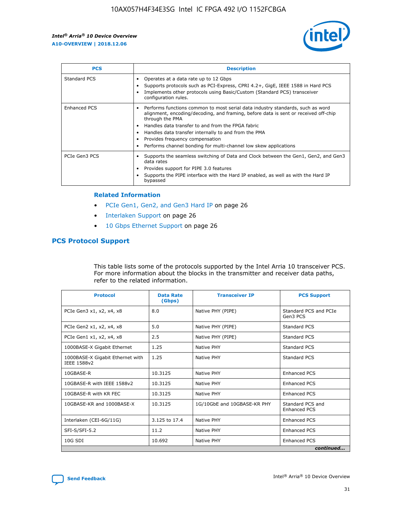

| <b>PCS</b>    | <b>Description</b>                                                                                                                                                                                                                                                                                                                                                                                             |
|---------------|----------------------------------------------------------------------------------------------------------------------------------------------------------------------------------------------------------------------------------------------------------------------------------------------------------------------------------------------------------------------------------------------------------------|
| Standard PCS  | Operates at a data rate up to 12 Gbps<br>Supports protocols such as PCI-Express, CPRI 4.2+, GigE, IEEE 1588 in Hard PCS<br>Implements other protocols using Basic/Custom (Standard PCS) transceiver<br>configuration rules.                                                                                                                                                                                    |
| Enhanced PCS  | Performs functions common to most serial data industry standards, such as word<br>alignment, encoding/decoding, and framing, before data is sent or received off-chip<br>through the PMA<br>• Handles data transfer to and from the FPGA fabric<br>Handles data transfer internally to and from the PMA<br>Provides frequency compensation<br>Performs channel bonding for multi-channel low skew applications |
| PCIe Gen3 PCS | Supports the seamless switching of Data and Clock between the Gen1, Gen2, and Gen3<br>data rates<br>Provides support for PIPE 3.0 features<br>Supports the PIPE interface with the Hard IP enabled, as well as with the Hard IP<br>bypassed                                                                                                                                                                    |

#### **Related Information**

- PCIe Gen1, Gen2, and Gen3 Hard IP on page 26
- Interlaken Support on page 26
- 10 Gbps Ethernet Support on page 26

# **PCS Protocol Support**

This table lists some of the protocols supported by the Intel Arria 10 transceiver PCS. For more information about the blocks in the transmitter and receiver data paths, refer to the related information.

| <b>Protocol</b>                                 | <b>Data Rate</b><br>(Gbps) | <b>Transceiver IP</b>       | <b>PCS Support</b>                      |
|-------------------------------------------------|----------------------------|-----------------------------|-----------------------------------------|
| PCIe Gen3 x1, x2, x4, x8                        | 8.0                        | Native PHY (PIPE)           | Standard PCS and PCIe<br>Gen3 PCS       |
| PCIe Gen2 x1, x2, x4, x8                        | 5.0                        | Native PHY (PIPE)           | <b>Standard PCS</b>                     |
| PCIe Gen1 x1, x2, x4, x8                        | 2.5                        | Native PHY (PIPE)           | Standard PCS                            |
| 1000BASE-X Gigabit Ethernet                     | 1.25                       | Native PHY                  | <b>Standard PCS</b>                     |
| 1000BASE-X Gigabit Ethernet with<br>IEEE 1588v2 | 1.25                       | Native PHY                  | Standard PCS                            |
| 10GBASE-R                                       | 10.3125                    | Native PHY                  | <b>Enhanced PCS</b>                     |
| 10GBASE-R with IEEE 1588v2                      | 10.3125                    | Native PHY                  | <b>Enhanced PCS</b>                     |
| 10GBASE-R with KR FEC                           | 10.3125                    | Native PHY                  | <b>Enhanced PCS</b>                     |
| 10GBASE-KR and 1000BASE-X                       | 10.3125                    | 1G/10GbE and 10GBASE-KR PHY | Standard PCS and<br><b>Enhanced PCS</b> |
| Interlaken (CEI-6G/11G)                         | 3.125 to 17.4              | Native PHY                  | <b>Enhanced PCS</b>                     |
| SFI-S/SFI-5.2                                   | 11.2                       | Native PHY                  | <b>Enhanced PCS</b>                     |
| $10G$ SDI                                       | 10.692                     | Native PHY                  | <b>Enhanced PCS</b>                     |
|                                                 |                            |                             | continued                               |

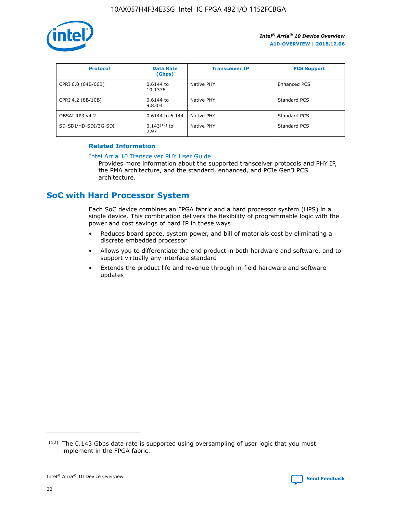

| <b>Protocol</b>      | <b>Data Rate</b><br>(Gbps) | <b>Transceiver IP</b> | <b>PCS Support</b> |
|----------------------|----------------------------|-----------------------|--------------------|
| CPRI 6.0 (64B/66B)   | 0.6144 to<br>10.1376       | Native PHY            | Enhanced PCS       |
| CPRI 4.2 (8B/10B)    | 0.6144 to<br>9.8304        | Native PHY            | Standard PCS       |
| OBSAI RP3 v4.2       | 0.6144 to 6.144            | Native PHY            | Standard PCS       |
| SD-SDI/HD-SDI/3G-SDI | $0.143(12)$ to<br>2.97     | Native PHY            | Standard PCS       |

# **Related Information**

#### [Intel Arria 10 Transceiver PHY User Guide](https://www.intel.com/content/www/us/en/programmable/documentation/nik1398707230472.html#nik1398707091164)

Provides more information about the supported transceiver protocols and PHY IP, the PMA architecture, and the standard, enhanced, and PCIe Gen3 PCS architecture.

# **SoC with Hard Processor System**

Each SoC device combines an FPGA fabric and a hard processor system (HPS) in a single device. This combination delivers the flexibility of programmable logic with the power and cost savings of hard IP in these ways:

- Reduces board space, system power, and bill of materials cost by eliminating a discrete embedded processor
- Allows you to differentiate the end product in both hardware and software, and to support virtually any interface standard
- Extends the product life and revenue through in-field hardware and software updates

 $(12)$  The 0.143 Gbps data rate is supported using oversampling of user logic that you must implement in the FPGA fabric.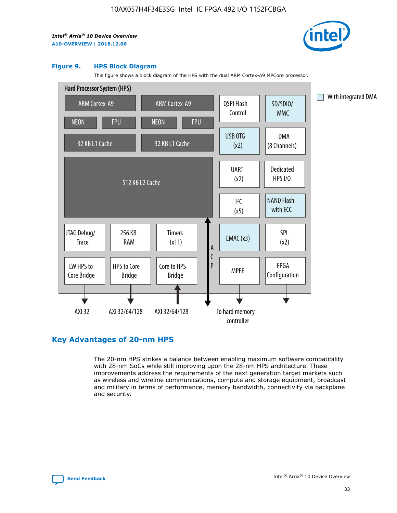

#### **Figure 9. HPS Block Diagram**

This figure shows a block diagram of the HPS with the dual ARM Cortex-A9 MPCore processor.



# **Key Advantages of 20-nm HPS**

The 20-nm HPS strikes a balance between enabling maximum software compatibility with 28-nm SoCs while still improving upon the 28-nm HPS architecture. These improvements address the requirements of the next generation target markets such as wireless and wireline communications, compute and storage equipment, broadcast and military in terms of performance, memory bandwidth, connectivity via backplane and security.

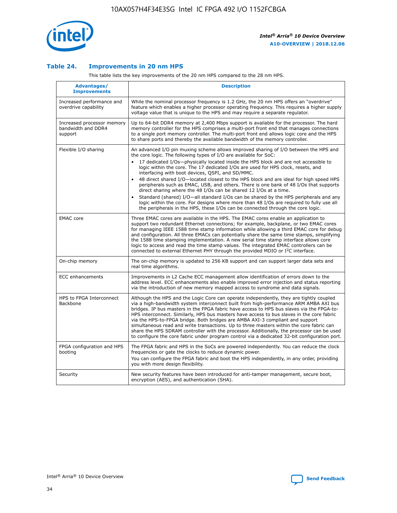

## **Table 24. Improvements in 20 nm HPS**

This table lists the key improvements of the 20 nm HPS compared to the 28 nm HPS.

| Advantages/<br><b>Improvements</b>                          | <b>Description</b>                                                                                                                                                                                                                                                                                                                                                                                                                                                                                                                                                                                                                                                                                                                                                                                                                                                                                                      |
|-------------------------------------------------------------|-------------------------------------------------------------------------------------------------------------------------------------------------------------------------------------------------------------------------------------------------------------------------------------------------------------------------------------------------------------------------------------------------------------------------------------------------------------------------------------------------------------------------------------------------------------------------------------------------------------------------------------------------------------------------------------------------------------------------------------------------------------------------------------------------------------------------------------------------------------------------------------------------------------------------|
| Increased performance and<br>overdrive capability           | While the nominal processor frequency is 1.2 GHz, the 20 nm HPS offers an "overdrive"<br>feature which enables a higher processor operating frequency. This requires a higher supply<br>voltage value that is unique to the HPS and may require a separate regulator.                                                                                                                                                                                                                                                                                                                                                                                                                                                                                                                                                                                                                                                   |
| Increased processor memory<br>bandwidth and DDR4<br>support | Up to 64-bit DDR4 memory at 2,400 Mbps support is available for the processor. The hard<br>memory controller for the HPS comprises a multi-port front end that manages connections<br>to a single port memory controller. The multi-port front end allows logic core and the HPS<br>to share ports and thereby the available bandwidth of the memory controller.                                                                                                                                                                                                                                                                                                                                                                                                                                                                                                                                                        |
| Flexible I/O sharing                                        | An advanced I/O pin muxing scheme allows improved sharing of I/O between the HPS and<br>the core logic. The following types of I/O are available for SoC:<br>17 dedicated I/Os-physically located inside the HPS block and are not accessible to<br>logic within the core. The 17 dedicated I/Os are used for HPS clock, resets, and<br>interfacing with boot devices, QSPI, and SD/MMC.<br>48 direct shared I/O-located closest to the HPS block and are ideal for high speed HPS<br>peripherals such as EMAC, USB, and others. There is one bank of 48 I/Os that supports<br>direct sharing where the 48 I/Os can be shared 12 I/Os at a time.<br>Standard (shared) I/O—all standard I/Os can be shared by the HPS peripherals and any<br>logic within the core. For designs where more than 48 I/Os are required to fully use all<br>the peripherals in the HPS, these I/Os can be connected through the core logic. |
| <b>EMAC</b> core                                            | Three EMAC cores are available in the HPS. The EMAC cores enable an application to<br>support two redundant Ethernet connections; for example, backplane, or two EMAC cores<br>for managing IEEE 1588 time stamp information while allowing a third EMAC core for debug<br>and configuration. All three EMACs can potentially share the same time stamps, simplifying<br>the 1588 time stamping implementation. A new serial time stamp interface allows core<br>logic to access and read the time stamp values. The integrated EMAC controllers can be<br>connected to external Ethernet PHY through the provided MDIO or I <sup>2</sup> C interface.                                                                                                                                                                                                                                                                  |
| On-chip memory                                              | The on-chip memory is updated to 256 KB support and can support larger data sets and<br>real time algorithms.                                                                                                                                                                                                                                                                                                                                                                                                                                                                                                                                                                                                                                                                                                                                                                                                           |
| ECC enhancements                                            | Improvements in L2 Cache ECC management allow identification of errors down to the<br>address level. ECC enhancements also enable improved error injection and status reporting<br>via the introduction of new memory mapped access to syndrome and data signals.                                                                                                                                                                                                                                                                                                                                                                                                                                                                                                                                                                                                                                                       |
| HPS to FPGA Interconnect<br>Backbone                        | Although the HPS and the Logic Core can operate independently, they are tightly coupled<br>via a high-bandwidth system interconnect built from high-performance ARM AMBA AXI bus<br>bridges. IP bus masters in the FPGA fabric have access to HPS bus slaves via the FPGA-to-<br>HPS interconnect. Similarly, HPS bus masters have access to bus slaves in the core fabric<br>via the HPS-to-FPGA bridge. Both bridges are AMBA AXI-3 compliant and support<br>simultaneous read and write transactions. Up to three masters within the core fabric can<br>share the HPS SDRAM controller with the processor. Additionally, the processor can be used<br>to configure the core fabric under program control via a dedicated 32-bit configuration port.                                                                                                                                                                  |
| FPGA configuration and HPS<br>booting                       | The FPGA fabric and HPS in the SoCs are powered independently. You can reduce the clock<br>frequencies or gate the clocks to reduce dynamic power.<br>You can configure the FPGA fabric and boot the HPS independently, in any order, providing<br>you with more design flexibility.                                                                                                                                                                                                                                                                                                                                                                                                                                                                                                                                                                                                                                    |
| Security                                                    | New security features have been introduced for anti-tamper management, secure boot,<br>encryption (AES), and authentication (SHA).                                                                                                                                                                                                                                                                                                                                                                                                                                                                                                                                                                                                                                                                                                                                                                                      |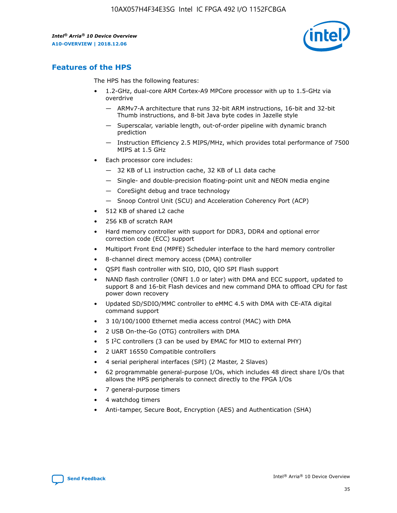

# **Features of the HPS**

The HPS has the following features:

- 1.2-GHz, dual-core ARM Cortex-A9 MPCore processor with up to 1.5-GHz via overdrive
	- ARMv7-A architecture that runs 32-bit ARM instructions, 16-bit and 32-bit Thumb instructions, and 8-bit Java byte codes in Jazelle style
	- Superscalar, variable length, out-of-order pipeline with dynamic branch prediction
	- Instruction Efficiency 2.5 MIPS/MHz, which provides total performance of 7500 MIPS at 1.5 GHz
- Each processor core includes:
	- 32 KB of L1 instruction cache, 32 KB of L1 data cache
	- Single- and double-precision floating-point unit and NEON media engine
	- CoreSight debug and trace technology
	- Snoop Control Unit (SCU) and Acceleration Coherency Port (ACP)
- 512 KB of shared L2 cache
- 256 KB of scratch RAM
- Hard memory controller with support for DDR3, DDR4 and optional error correction code (ECC) support
- Multiport Front End (MPFE) Scheduler interface to the hard memory controller
- 8-channel direct memory access (DMA) controller
- QSPI flash controller with SIO, DIO, QIO SPI Flash support
- NAND flash controller (ONFI 1.0 or later) with DMA and ECC support, updated to support 8 and 16-bit Flash devices and new command DMA to offload CPU for fast power down recovery
- Updated SD/SDIO/MMC controller to eMMC 4.5 with DMA with CE-ATA digital command support
- 3 10/100/1000 Ethernet media access control (MAC) with DMA
- 2 USB On-the-Go (OTG) controllers with DMA
- $\bullet$  5 I<sup>2</sup>C controllers (3 can be used by EMAC for MIO to external PHY)
- 2 UART 16550 Compatible controllers
- 4 serial peripheral interfaces (SPI) (2 Master, 2 Slaves)
- 62 programmable general-purpose I/Os, which includes 48 direct share I/Os that allows the HPS peripherals to connect directly to the FPGA I/Os
- 7 general-purpose timers
- 4 watchdog timers
- Anti-tamper, Secure Boot, Encryption (AES) and Authentication (SHA)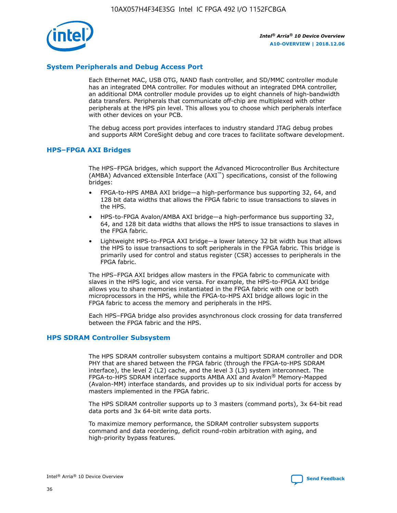

# **System Peripherals and Debug Access Port**

Each Ethernet MAC, USB OTG, NAND flash controller, and SD/MMC controller module has an integrated DMA controller. For modules without an integrated DMA controller, an additional DMA controller module provides up to eight channels of high-bandwidth data transfers. Peripherals that communicate off-chip are multiplexed with other peripherals at the HPS pin level. This allows you to choose which peripherals interface with other devices on your PCB.

The debug access port provides interfaces to industry standard JTAG debug probes and supports ARM CoreSight debug and core traces to facilitate software development.

## **HPS–FPGA AXI Bridges**

The HPS–FPGA bridges, which support the Advanced Microcontroller Bus Architecture (AMBA) Advanced eXtensible Interface (AXI™) specifications, consist of the following bridges:

- FPGA-to-HPS AMBA AXI bridge—a high-performance bus supporting 32, 64, and 128 bit data widths that allows the FPGA fabric to issue transactions to slaves in the HPS.
- HPS-to-FPGA Avalon/AMBA AXI bridge—a high-performance bus supporting 32, 64, and 128 bit data widths that allows the HPS to issue transactions to slaves in the FPGA fabric.
- Lightweight HPS-to-FPGA AXI bridge—a lower latency 32 bit width bus that allows the HPS to issue transactions to soft peripherals in the FPGA fabric. This bridge is primarily used for control and status register (CSR) accesses to peripherals in the FPGA fabric.

The HPS–FPGA AXI bridges allow masters in the FPGA fabric to communicate with slaves in the HPS logic, and vice versa. For example, the HPS-to-FPGA AXI bridge allows you to share memories instantiated in the FPGA fabric with one or both microprocessors in the HPS, while the FPGA-to-HPS AXI bridge allows logic in the FPGA fabric to access the memory and peripherals in the HPS.

Each HPS–FPGA bridge also provides asynchronous clock crossing for data transferred between the FPGA fabric and the HPS.

## **HPS SDRAM Controller Subsystem**

The HPS SDRAM controller subsystem contains a multiport SDRAM controller and DDR PHY that are shared between the FPGA fabric (through the FPGA-to-HPS SDRAM interface), the level 2 (L2) cache, and the level 3 (L3) system interconnect. The FPGA-to-HPS SDRAM interface supports AMBA AXI and Avalon® Memory-Mapped (Avalon-MM) interface standards, and provides up to six individual ports for access by masters implemented in the FPGA fabric.

The HPS SDRAM controller supports up to 3 masters (command ports), 3x 64-bit read data ports and 3x 64-bit write data ports.

To maximize memory performance, the SDRAM controller subsystem supports command and data reordering, deficit round-robin arbitration with aging, and high-priority bypass features.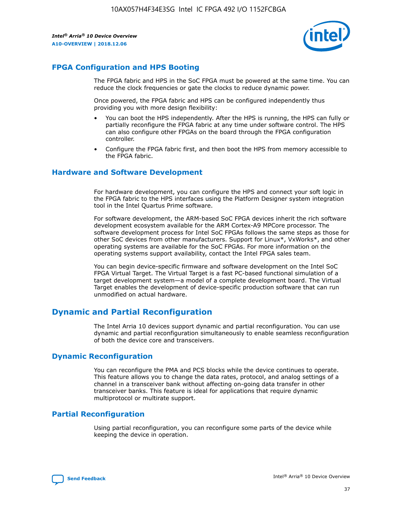

# **FPGA Configuration and HPS Booting**

The FPGA fabric and HPS in the SoC FPGA must be powered at the same time. You can reduce the clock frequencies or gate the clocks to reduce dynamic power.

Once powered, the FPGA fabric and HPS can be configured independently thus providing you with more design flexibility:

- You can boot the HPS independently. After the HPS is running, the HPS can fully or partially reconfigure the FPGA fabric at any time under software control. The HPS can also configure other FPGAs on the board through the FPGA configuration controller.
- Configure the FPGA fabric first, and then boot the HPS from memory accessible to the FPGA fabric.

## **Hardware and Software Development**

For hardware development, you can configure the HPS and connect your soft logic in the FPGA fabric to the HPS interfaces using the Platform Designer system integration tool in the Intel Quartus Prime software.

For software development, the ARM-based SoC FPGA devices inherit the rich software development ecosystem available for the ARM Cortex-A9 MPCore processor. The software development process for Intel SoC FPGAs follows the same steps as those for other SoC devices from other manufacturers. Support for Linux\*, VxWorks\*, and other operating systems are available for the SoC FPGAs. For more information on the operating systems support availability, contact the Intel FPGA sales team.

You can begin device-specific firmware and software development on the Intel SoC FPGA Virtual Target. The Virtual Target is a fast PC-based functional simulation of a target development system—a model of a complete development board. The Virtual Target enables the development of device-specific production software that can run unmodified on actual hardware.

# **Dynamic and Partial Reconfiguration**

The Intel Arria 10 devices support dynamic and partial reconfiguration. You can use dynamic and partial reconfiguration simultaneously to enable seamless reconfiguration of both the device core and transceivers.

# **Dynamic Reconfiguration**

You can reconfigure the PMA and PCS blocks while the device continues to operate. This feature allows you to change the data rates, protocol, and analog settings of a channel in a transceiver bank without affecting on-going data transfer in other transceiver banks. This feature is ideal for applications that require dynamic multiprotocol or multirate support.

# **Partial Reconfiguration**

Using partial reconfiguration, you can reconfigure some parts of the device while keeping the device in operation.

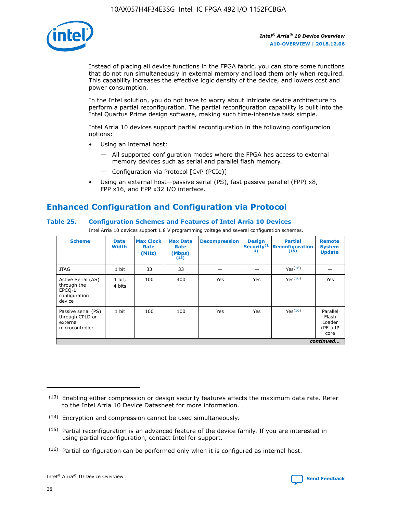

Instead of placing all device functions in the FPGA fabric, you can store some functions that do not run simultaneously in external memory and load them only when required. This capability increases the effective logic density of the device, and lowers cost and power consumption.

In the Intel solution, you do not have to worry about intricate device architecture to perform a partial reconfiguration. The partial reconfiguration capability is built into the Intel Quartus Prime design software, making such time-intensive task simple.

Intel Arria 10 devices support partial reconfiguration in the following configuration options:

- Using an internal host:
	- All supported configuration modes where the FPGA has access to external memory devices such as serial and parallel flash memory.
	- Configuration via Protocol [CvP (PCIe)]
- Using an external host—passive serial (PS), fast passive parallel (FPP) x8, FPP x16, and FPP x32 I/O interface.

# **Enhanced Configuration and Configuration via Protocol**

# **Table 25. Configuration Schemes and Features of Intel Arria 10 Devices**

Intel Arria 10 devices support 1.8 V programming voltage and several configuration schemes.

| <b>Scheme</b>                                                          | <b>Data</b><br><b>Width</b> | <b>Max Clock</b><br>Rate<br>(MHz) | <b>Max Data</b><br>Rate<br>(Mbps)<br>(13) | <b>Decompression</b> | <b>Design</b><br>Security <sup>(1</sup><br>4) | <b>Partial</b><br>Reconfiguration<br>(15) | <b>Remote</b><br><b>System</b><br><b>Update</b> |
|------------------------------------------------------------------------|-----------------------------|-----------------------------------|-------------------------------------------|----------------------|-----------------------------------------------|-------------------------------------------|-------------------------------------------------|
| <b>JTAG</b>                                                            | 1 bit                       | 33                                | 33                                        |                      |                                               | Yes(16)                                   |                                                 |
| Active Serial (AS)<br>through the<br>EPCO-L<br>configuration<br>device | 1 bit,<br>4 bits            | 100                               | 400                                       | Yes                  | Yes                                           | Yes(16)                                   | Yes                                             |
| Passive serial (PS)<br>through CPLD or<br>external<br>microcontroller  | 1 bit                       | 100                               | 100                                       | Yes                  | Yes                                           | Yes <sup>(16)</sup>                       | Parallel<br>Flash<br>Loader<br>(PFL) IP<br>core |
|                                                                        |                             |                                   |                                           |                      |                                               |                                           | continued                                       |

<sup>(13)</sup> Enabling either compression or design security features affects the maximum data rate. Refer to the Intel Arria 10 Device Datasheet for more information.

<sup>(14)</sup> Encryption and compression cannot be used simultaneously.

 $(15)$  Partial reconfiguration is an advanced feature of the device family. If you are interested in using partial reconfiguration, contact Intel for support.

 $(16)$  Partial configuration can be performed only when it is configured as internal host.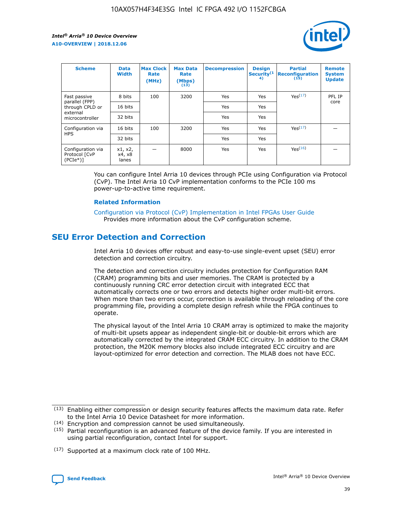

| <b>Scheme</b>                                   | <b>Data</b><br><b>Width</b> | <b>Max Clock</b><br>Rate<br>(MHz) | <b>Max Data</b><br>Rate<br>(Mbps)<br>(13) | <b>Decompression</b> | <b>Design</b><br>Security <sup>(1</sup><br>4) | <b>Partial</b><br><b>Reconfiguration</b><br>(15) | <b>Remote</b><br><b>System</b><br><b>Update</b> |
|-------------------------------------------------|-----------------------------|-----------------------------------|-------------------------------------------|----------------------|-----------------------------------------------|--------------------------------------------------|-------------------------------------------------|
| Fast passive                                    | 8 bits                      | 100                               | 3200                                      | Yes                  | Yes                                           | Yes(17)                                          | PFL IP                                          |
| parallel (FPP)<br>through CPLD or               | 16 bits                     |                                   |                                           | Yes                  | Yes                                           |                                                  | core                                            |
| external<br>microcontroller                     | 32 bits                     |                                   |                                           | Yes                  | Yes                                           |                                                  |                                                 |
| Configuration via                               | 16 bits                     | 100                               | 3200                                      | Yes                  | Yes                                           | Yes <sup>(17)</sup>                              |                                                 |
| <b>HPS</b>                                      | 32 bits                     |                                   |                                           | Yes                  | Yes                                           |                                                  |                                                 |
| Configuration via<br>Protocol [CvP<br>$(PCIe*)$ | x1, x2,<br>x4, x8<br>lanes  |                                   | 8000                                      | Yes                  | Yes                                           | Yes <sup>(16)</sup>                              |                                                 |

You can configure Intel Arria 10 devices through PCIe using Configuration via Protocol (CvP). The Intel Arria 10 CvP implementation conforms to the PCIe 100 ms power-up-to-active time requirement.

#### **Related Information**

[Configuration via Protocol \(CvP\) Implementation in Intel FPGAs User Guide](https://www.intel.com/content/www/us/en/programmable/documentation/dsu1441819344145.html#dsu1442269728522) Provides more information about the CvP configuration scheme.

# **SEU Error Detection and Correction**

Intel Arria 10 devices offer robust and easy-to-use single-event upset (SEU) error detection and correction circuitry.

The detection and correction circuitry includes protection for Configuration RAM (CRAM) programming bits and user memories. The CRAM is protected by a continuously running CRC error detection circuit with integrated ECC that automatically corrects one or two errors and detects higher order multi-bit errors. When more than two errors occur, correction is available through reloading of the core programming file, providing a complete design refresh while the FPGA continues to operate.

The physical layout of the Intel Arria 10 CRAM array is optimized to make the majority of multi-bit upsets appear as independent single-bit or double-bit errors which are automatically corrected by the integrated CRAM ECC circuitry. In addition to the CRAM protection, the M20K memory blocks also include integrated ECC circuitry and are layout-optimized for error detection and correction. The MLAB does not have ECC.

<sup>(17)</sup> Supported at a maximum clock rate of 100 MHz.



 $(13)$  Enabling either compression or design security features affects the maximum data rate. Refer to the Intel Arria 10 Device Datasheet for more information.

<sup>(14)</sup> Encryption and compression cannot be used simultaneously.

 $(15)$  Partial reconfiguration is an advanced feature of the device family. If you are interested in using partial reconfiguration, contact Intel for support.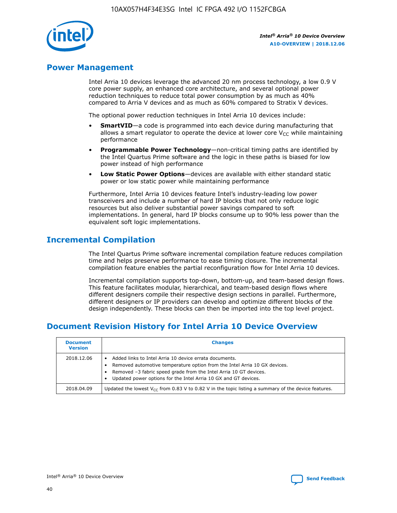

# **Power Management**

Intel Arria 10 devices leverage the advanced 20 nm process technology, a low 0.9 V core power supply, an enhanced core architecture, and several optional power reduction techniques to reduce total power consumption by as much as 40% compared to Arria V devices and as much as 60% compared to Stratix V devices.

The optional power reduction techniques in Intel Arria 10 devices include:

- **SmartVID**—a code is programmed into each device during manufacturing that allows a smart regulator to operate the device at lower core  $V_{CC}$  while maintaining performance
- **Programmable Power Technology**—non-critical timing paths are identified by the Intel Quartus Prime software and the logic in these paths is biased for low power instead of high performance
- **Low Static Power Options**—devices are available with either standard static power or low static power while maintaining performance

Furthermore, Intel Arria 10 devices feature Intel's industry-leading low power transceivers and include a number of hard IP blocks that not only reduce logic resources but also deliver substantial power savings compared to soft implementations. In general, hard IP blocks consume up to 90% less power than the equivalent soft logic implementations.

# **Incremental Compilation**

The Intel Quartus Prime software incremental compilation feature reduces compilation time and helps preserve performance to ease timing closure. The incremental compilation feature enables the partial reconfiguration flow for Intel Arria 10 devices.

Incremental compilation supports top-down, bottom-up, and team-based design flows. This feature facilitates modular, hierarchical, and team-based design flows where different designers compile their respective design sections in parallel. Furthermore, different designers or IP providers can develop and optimize different blocks of the design independently. These blocks can then be imported into the top level project.

# **Document Revision History for Intel Arria 10 Device Overview**

| <b>Document</b><br><b>Version</b> | <b>Changes</b>                                                                                                                                                                                                                                                              |
|-----------------------------------|-----------------------------------------------------------------------------------------------------------------------------------------------------------------------------------------------------------------------------------------------------------------------------|
| 2018.12.06                        | Added links to Intel Arria 10 device errata documents.<br>Removed automotive temperature option from the Intel Arria 10 GX devices.<br>Removed -3 fabric speed grade from the Intel Arria 10 GT devices.<br>Updated power options for the Intel Arria 10 GX and GT devices. |
| 2018.04.09                        | Updated the lowest $V_{CC}$ from 0.83 V to 0.82 V in the topic listing a summary of the device features.                                                                                                                                                                    |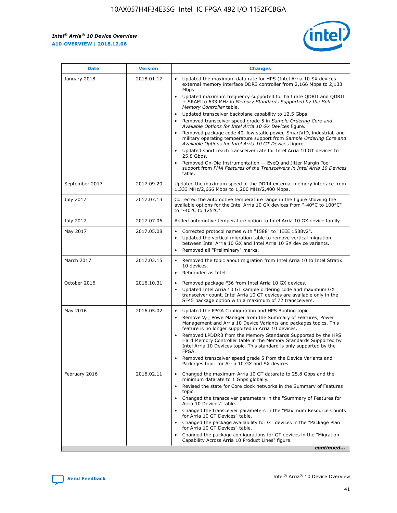#### *Intel® Arria® 10 Device Overview* **A10-OVERVIEW | 2018.12.06**



| <b>Date</b>    | <b>Version</b> | <b>Changes</b>                                                                                                                                                                                                                                                                                                                                                                                                                                                                                                                                                                                                                                                                                                                                                                                                                                                                                                                                                            |
|----------------|----------------|---------------------------------------------------------------------------------------------------------------------------------------------------------------------------------------------------------------------------------------------------------------------------------------------------------------------------------------------------------------------------------------------------------------------------------------------------------------------------------------------------------------------------------------------------------------------------------------------------------------------------------------------------------------------------------------------------------------------------------------------------------------------------------------------------------------------------------------------------------------------------------------------------------------------------------------------------------------------------|
| January 2018   | 2018.01.17     | Updated the maximum data rate for HPS (Intel Arria 10 SX devices<br>external memory interface DDR3 controller from 2,166 Mbps to 2,133<br>Mbps.<br>Updated maximum frequency supported for half rate QDRII and QDRII<br>+ SRAM to 633 MHz in Memory Standards Supported by the Soft<br>Memory Controller table.<br>Updated transceiver backplane capability to 12.5 Gbps.<br>$\bullet$<br>Removed transceiver speed grade 5 in Sample Ordering Core and<br>Available Options for Intel Arria 10 GX Devices figure.<br>Removed package code 40, low static power, SmartVID, industrial, and<br>military operating temperature support from Sample Ordering Core and<br>Available Options for Intel Arria 10 GT Devices figure.<br>Updated short reach transceiver rate for Intel Arria 10 GT devices to<br>25.8 Gbps.<br>Removed On-Die Instrumentation - EyeQ and Jitter Margin Tool<br>support from PMA Features of the Transceivers in Intel Arria 10 Devices<br>table. |
| September 2017 | 2017.09.20     | Updated the maximum speed of the DDR4 external memory interface from<br>1,333 MHz/2,666 Mbps to 1,200 MHz/2,400 Mbps.                                                                                                                                                                                                                                                                                                                                                                                                                                                                                                                                                                                                                                                                                                                                                                                                                                                     |
| July 2017      | 2017.07.13     | Corrected the automotive temperature range in the figure showing the<br>available options for the Intel Arria 10 GX devices from "-40°C to 100°C"<br>to "-40°C to 125°C".                                                                                                                                                                                                                                                                                                                                                                                                                                                                                                                                                                                                                                                                                                                                                                                                 |
| July 2017      | 2017.07.06     | Added automotive temperature option to Intel Arria 10 GX device family.                                                                                                                                                                                                                                                                                                                                                                                                                                                                                                                                                                                                                                                                                                                                                                                                                                                                                                   |
| May 2017       | 2017.05.08     | Corrected protocol names with "1588" to "IEEE 1588v2".<br>$\bullet$<br>Updated the vertical migration table to remove vertical migration<br>$\bullet$<br>between Intel Arria 10 GX and Intel Arria 10 SX device variants.<br>Removed all "Preliminary" marks.<br>$\bullet$                                                                                                                                                                                                                                                                                                                                                                                                                                                                                                                                                                                                                                                                                                |
| March 2017     | 2017.03.15     | Removed the topic about migration from Intel Arria 10 to Intel Stratix<br>$\bullet$<br>10 devices.<br>Rebranded as Intel.<br>$\bullet$                                                                                                                                                                                                                                                                                                                                                                                                                                                                                                                                                                                                                                                                                                                                                                                                                                    |
| October 2016   | 2016.10.31     | Removed package F36 from Intel Arria 10 GX devices.<br>Updated Intel Arria 10 GT sample ordering code and maximum GX<br>$\bullet$<br>transceiver count. Intel Arria 10 GT devices are available only in the<br>SF45 package option with a maximum of 72 transceivers.                                                                                                                                                                                                                                                                                                                                                                                                                                                                                                                                                                                                                                                                                                     |
| May 2016       | 2016.05.02     | Updated the FPGA Configuration and HPS Booting topic.<br>$\bullet$<br>Remove V <sub>CC</sub> PowerManager from the Summary of Features, Power<br>$\bullet$<br>Management and Arria 10 Device Variants and packages topics. This<br>feature is no longer supported in Arria 10 devices.<br>Removed LPDDR3 from the Memory Standards Supported by the HPS<br>Hard Memory Controller table in the Memory Standards Supported by<br>Intel Arria 10 Devices topic. This standard is only supported by the<br>FPGA.<br>Removed transceiver speed grade 5 from the Device Variants and<br>Packages topic for Arria 10 GX and SX devices.                                                                                                                                                                                                                                                                                                                                         |
| February 2016  | 2016.02.11     | Changed the maximum Arria 10 GT datarate to 25.8 Gbps and the<br>minimum datarate to 1 Gbps globally.<br>Revised the state for Core clock networks in the Summary of Features<br>$\bullet$<br>topic.<br>• Changed the transceiver parameters in the "Summary of Features for<br>Arria 10 Devices" table.<br>• Changed the transceiver parameters in the "Maximum Resource Counts<br>for Arria 10 GT Devices" table.<br>• Changed the package availability for GT devices in the "Package Plan<br>for Arria 10 GT Devices" table.<br>Changed the package configurations for GT devices in the "Migration"<br>Capability Across Arria 10 Product Lines" figure.<br>continued                                                                                                                                                                                                                                                                                                |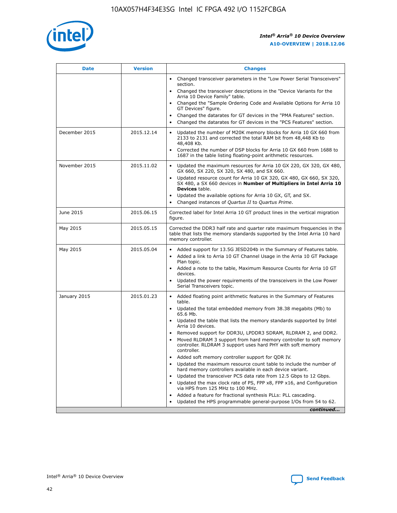

| <b>Date</b>   | <b>Version</b> | <b>Changes</b>                                                                                                                                                               |
|---------------|----------------|------------------------------------------------------------------------------------------------------------------------------------------------------------------------------|
|               |                | Changed transceiver parameters in the "Low Power Serial Transceivers"<br>$\bullet$<br>section.                                                                               |
|               |                | • Changed the transceiver descriptions in the "Device Variants for the<br>Arria 10 Device Family" table.                                                                     |
|               |                | • Changed the "Sample Ordering Code and Available Options for Arria 10<br>GT Devices" figure.                                                                                |
|               |                | Changed the datarates for GT devices in the "PMA Features" section.                                                                                                          |
|               |                | Changed the datarates for GT devices in the "PCS Features" section.<br>$\bullet$                                                                                             |
| December 2015 | 2015.12.14     | Updated the number of M20K memory blocks for Arria 10 GX 660 from<br>2133 to 2131 and corrected the total RAM bit from 48,448 Kb to<br>48,408 Kb.                            |
|               |                | Corrected the number of DSP blocks for Arria 10 GX 660 from 1688 to<br>$\bullet$<br>1687 in the table listing floating-point arithmetic resources.                           |
| November 2015 | 2015.11.02     | Updated the maximum resources for Arria 10 GX 220, GX 320, GX 480,<br>GX 660, SX 220, SX 320, SX 480, and SX 660.                                                            |
|               |                | Updated resource count for Arria 10 GX 320, GX 480, GX 660, SX 320,<br>SX 480, a SX 660 devices in Number of Multipliers in Intel Arria 10<br><b>Devices</b> table.          |
|               |                | Updated the available options for Arria 10 GX, GT, and SX.<br>$\bullet$                                                                                                      |
|               |                | Changed instances of Quartus II to Quartus Prime.<br>$\bullet$                                                                                                               |
| June 2015     | 2015.06.15     | Corrected label for Intel Arria 10 GT product lines in the vertical migration<br>figure.                                                                                     |
| May 2015      | 2015.05.15     | Corrected the DDR3 half rate and quarter rate maximum frequencies in the<br>table that lists the memory standards supported by the Intel Arria 10 hard<br>memory controller. |
| May 2015      | 2015.05.04     | • Added support for 13.5G JESD204b in the Summary of Features table.<br>Added a link to Arria 10 GT Channel Usage in the Arria 10 GT Package<br>$\bullet$<br>Plan topic.     |
|               |                | • Added a note to the table, Maximum Resource Counts for Arria 10 GT<br>devices.                                                                                             |
|               |                | • Updated the power requirements of the transceivers in the Low Power<br>Serial Transceivers topic.                                                                          |
| January 2015  | 2015.01.23     | • Added floating point arithmetic features in the Summary of Features<br>table.                                                                                              |
|               |                | • Updated the total embedded memory from 38.38 megabits (Mb) to<br>65.6 Mb.                                                                                                  |
|               |                | • Updated the table that lists the memory standards supported by Intel<br>Arria 10 devices.                                                                                  |
|               |                | Removed support for DDR3U, LPDDR3 SDRAM, RLDRAM 2, and DDR2.                                                                                                                 |
|               |                | Moved RLDRAM 3 support from hard memory controller to soft memory<br>controller. RLDRAM 3 support uses hard PHY with soft memory<br>controller.                              |
|               |                | Added soft memory controller support for QDR IV.                                                                                                                             |
|               |                | Updated the maximum resource count table to include the number of<br>hard memory controllers available in each device variant.                                               |
|               |                | Updated the transceiver PCS data rate from 12.5 Gbps to 12 Gbps.                                                                                                             |
|               |                | Updated the max clock rate of PS, FPP x8, FPP x16, and Configuration<br>via HPS from 125 MHz to 100 MHz.                                                                     |
|               |                | Added a feature for fractional synthesis PLLs: PLL cascading.                                                                                                                |
|               |                | Updated the HPS programmable general-purpose I/Os from 54 to 62.<br>$\bullet$                                                                                                |
|               |                | continued                                                                                                                                                                    |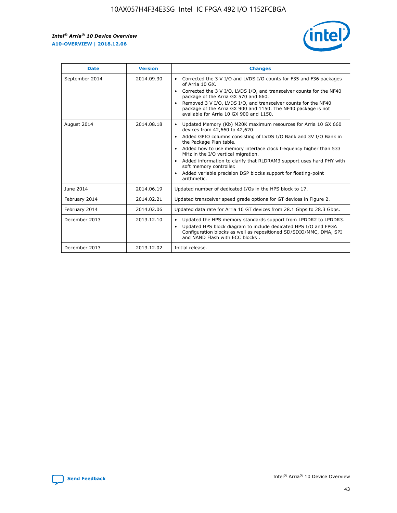r



| <b>Date</b>    | <b>Version</b> | <b>Changes</b>                                                                                                                                                                                                                                                                                                                                                                                                                                                                                                                                      |
|----------------|----------------|-----------------------------------------------------------------------------------------------------------------------------------------------------------------------------------------------------------------------------------------------------------------------------------------------------------------------------------------------------------------------------------------------------------------------------------------------------------------------------------------------------------------------------------------------------|
| September 2014 | 2014.09.30     | Corrected the 3 V I/O and LVDS I/O counts for F35 and F36 packages<br>$\bullet$<br>of Arria 10 GX.<br>Corrected the 3 V I/O, LVDS I/O, and transceiver counts for the NF40<br>$\bullet$<br>package of the Arria GX 570 and 660.<br>Removed 3 V I/O, LVDS I/O, and transceiver counts for the NF40<br>$\bullet$<br>package of the Arria GX 900 and 1150. The NF40 package is not<br>available for Arria 10 GX 900 and 1150.                                                                                                                          |
| August 2014    | 2014.08.18     | Updated Memory (Kb) M20K maximum resources for Arria 10 GX 660<br>devices from 42,660 to 42,620.<br>Added GPIO columns consisting of LVDS I/O Bank and 3V I/O Bank in<br>$\bullet$<br>the Package Plan table.<br>Added how to use memory interface clock frequency higher than 533<br>$\bullet$<br>MHz in the I/O vertical migration.<br>Added information to clarify that RLDRAM3 support uses hard PHY with<br>$\bullet$<br>soft memory controller.<br>Added variable precision DSP blocks support for floating-point<br>$\bullet$<br>arithmetic. |
| June 2014      | 2014.06.19     | Updated number of dedicated I/Os in the HPS block to 17.                                                                                                                                                                                                                                                                                                                                                                                                                                                                                            |
| February 2014  | 2014.02.21     | Updated transceiver speed grade options for GT devices in Figure 2.                                                                                                                                                                                                                                                                                                                                                                                                                                                                                 |
| February 2014  | 2014.02.06     | Updated data rate for Arria 10 GT devices from 28.1 Gbps to 28.3 Gbps.                                                                                                                                                                                                                                                                                                                                                                                                                                                                              |
| December 2013  | 2013.12.10     | Updated the HPS memory standards support from LPDDR2 to LPDDR3.<br>Updated HPS block diagram to include dedicated HPS I/O and FPGA<br>$\bullet$<br>Configuration blocks as well as repositioned SD/SDIO/MMC, DMA, SPI<br>and NAND Flash with ECC blocks.                                                                                                                                                                                                                                                                                            |
| December 2013  | 2013.12.02     | Initial release.                                                                                                                                                                                                                                                                                                                                                                                                                                                                                                                                    |